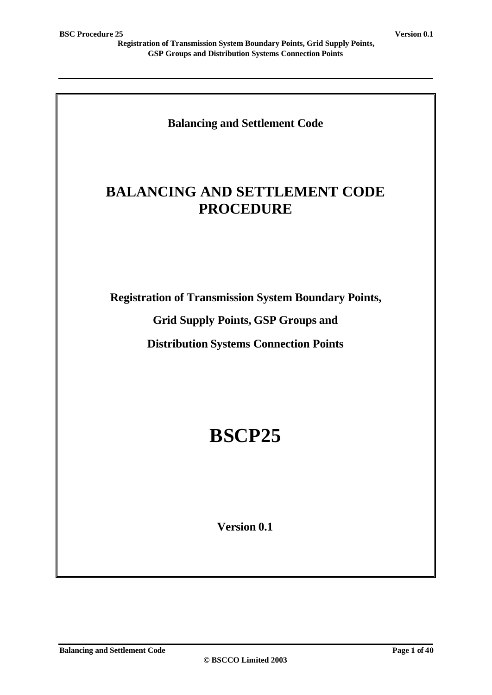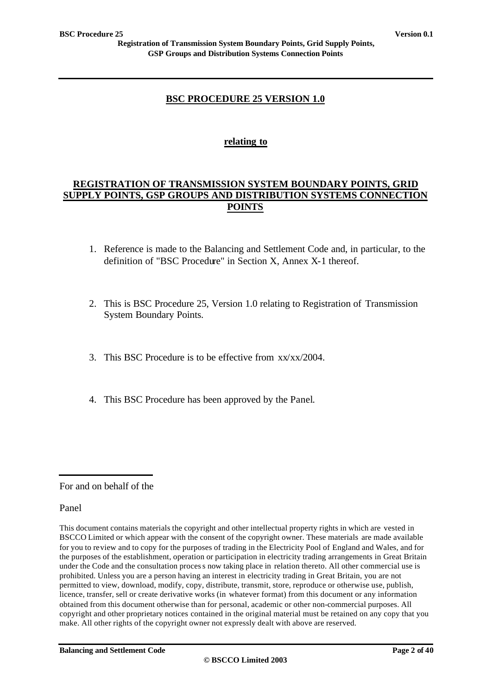### **BSC PROCEDURE 25 VERSION 1.0**

### **relating to**

### **REGISTRATION OF TRANSMISSION SYSTEM BOUNDARY POINTS, GRID SUPPLY POINTS, GSP GROUPS AND DISTRIBUTION SYSTEMS CONNECTION POINTS**

- 1. Reference is made to the Balancing and Settlement Code and, in particular, to the definition of "BSC Procedure" in Section X, Annex X-1 thereof.
- 2. This is BSC Procedure 25, Version 1.0 relating to Registration of Transmission System Boundary Points.
- 3. This BSC Procedure is to be effective from xx/xx/2004.
- 4. This BSC Procedure has been approved by the Panel.

For and on behalf of the

#### Panel

This document contains materials the copyright and other intellectual property rights in which are vested in BSCCO Limited or which appear with the consent of the copyright owner. These materials are made available for you to review and to copy for the purposes of trading in the Electricity Pool of England and Wales, and for the purposes of the establishment, operation or participation in electricity trading arrangements in Great Britain under the Code and the consultation process now taking place in relation thereto. All other commercial use is prohibited. Unless you are a person having an interest in electricity trading in Great Britain, you are not permitted to view, download, modify, copy, distribute, transmit, store, reproduce or otherwise use, publish, licence, transfer, sell or create derivative works (in whatever format) from this document or any information obtained from this document otherwise than for personal, academic or other non-commercial purposes. All copyright and other proprietary notices contained in the original material must be retained on any copy that you make. All other rights of the copyright owner not expressly dealt with above are reserved.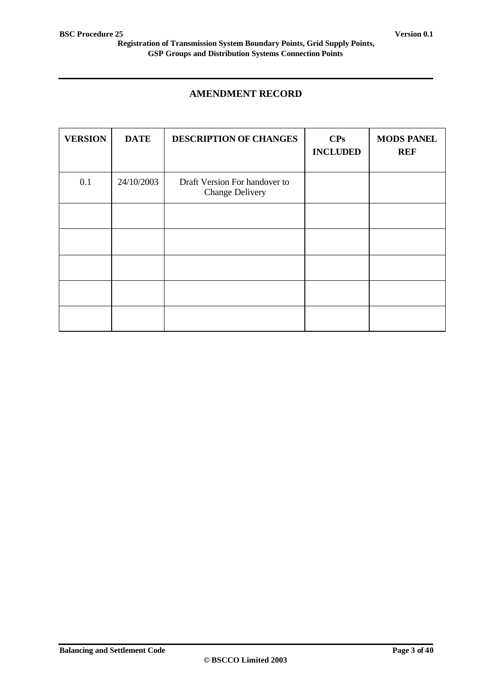### **AMENDMENT RECORD**

| <b>VERSION</b> | <b>DATE</b> | DESCRIPTION OF CHANGES                                  | CPs<br><b>INCLUDED</b> | <b>MODS PANEL</b><br><b>REF</b> |
|----------------|-------------|---------------------------------------------------------|------------------------|---------------------------------|
| 0.1            | 24/10/2003  | Draft Version For handover to<br><b>Change Delivery</b> |                        |                                 |
|                |             |                                                         |                        |                                 |
|                |             |                                                         |                        |                                 |
|                |             |                                                         |                        |                                 |
|                |             |                                                         |                        |                                 |
|                |             |                                                         |                        |                                 |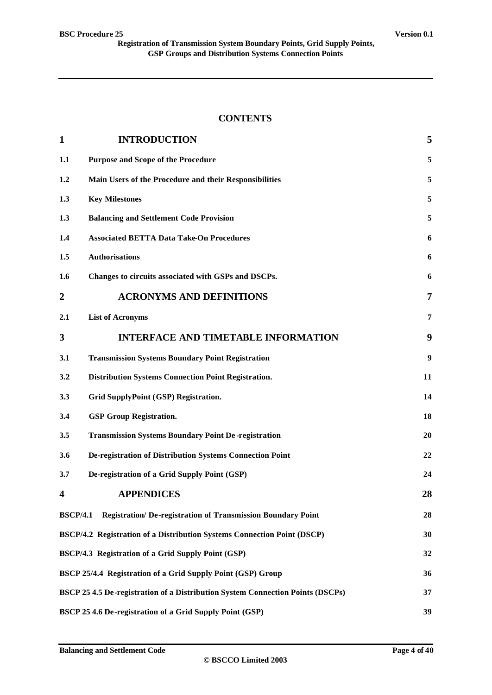### **CONTENTS**

| $\mathbf{1}$    | <b>INTRODUCTION</b>                                                                         | 5                |  |  |  |
|-----------------|---------------------------------------------------------------------------------------------|------------------|--|--|--|
| 1.1             | <b>Purpose and Scope of the Procedure</b>                                                   | 5                |  |  |  |
| 1.2             | Main Users of the Procedure and their Responsibilities                                      | 5                |  |  |  |
| 1.3             | <b>Key Milestones</b>                                                                       | 5                |  |  |  |
| 1.3             | <b>Balancing and Settlement Code Provision</b>                                              | 5                |  |  |  |
| 1.4             | <b>Associated BETTA Data Take-On Procedures</b>                                             | 6                |  |  |  |
| 1.5             | <b>Authorisations</b>                                                                       | 6                |  |  |  |
| 1.6             | Changes to circuits associated with GSPs and DSCPs.                                         | 6                |  |  |  |
| 2               | <b>ACRONYMS AND DEFINITIONS</b>                                                             | 7                |  |  |  |
| 2.1             | <b>List of Acronyms</b>                                                                     | $\overline{7}$   |  |  |  |
| 3               | <b>INTERFACE AND TIMETABLE INFORMATION</b>                                                  | 9                |  |  |  |
| 3.1             | <b>Transmission Systems Boundary Point Registration</b>                                     | $\boldsymbol{9}$ |  |  |  |
| 3.2             | <b>Distribution Systems Connection Point Registration.</b>                                  | 11               |  |  |  |
| 3.3             | Grid SupplyPoint (GSP) Registration.                                                        | 14               |  |  |  |
| 3.4             | <b>GSP Group Registration.</b>                                                              | 18               |  |  |  |
| 3.5             | <b>Transmission Systems Boundary Point De-registration</b>                                  | 20               |  |  |  |
| 3.6             | De-registration of Distribution Systems Connection Point                                    | 22               |  |  |  |
| 3.7             | De-registration of a Grid Supply Point (GSP)                                                | 24               |  |  |  |
| 4               | <b>APPENDICES</b>                                                                           | 28               |  |  |  |
| <b>BSCP/4.1</b> | Registration/ De-registration of Transmission Boundary Point                                | 28               |  |  |  |
|                 | BSCP/4.2 Registration of a Distribution Systems Connection Point (DSCP)                     | 30               |  |  |  |
|                 | BSCP/4.3 Registration of a Grid Supply Point (GSP)                                          | 32               |  |  |  |
|                 | <b>BSCP 25/4.4 Registration of a Grid Supply Point (GSP) Group</b>                          | 36               |  |  |  |
|                 | <b>BSCP 25 4.5 De-registration of a Distribution System Connection Points (DSCPs)</b><br>37 |                  |  |  |  |
|                 | BSCP 25 4.6 De-registration of a Grid Supply Point (GSP)                                    | 39               |  |  |  |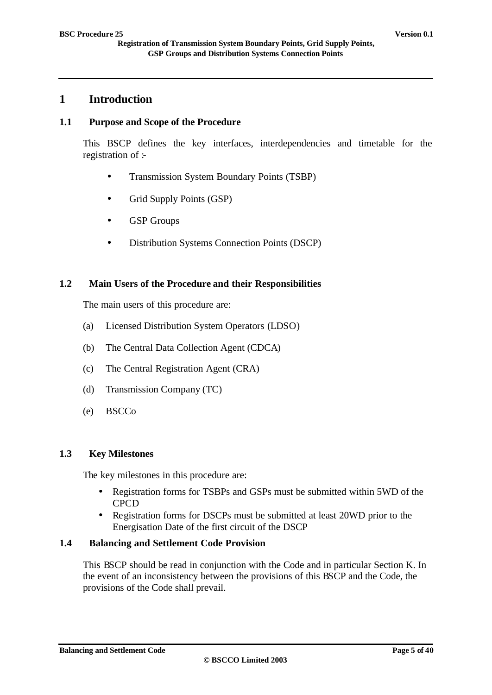### **1 Introduction**

### **1.1 Purpose and Scope of the Procedure**

This BSCP defines the key interfaces, interdependencies and timetable for the registration of :-

- Transmission System Boundary Points (TSBP)
- Grid Supply Points (GSP)
- GSP Groups
- Distribution Systems Connection Points (DSCP)

#### **1.2 Main Users of the Procedure and their Responsibilities**

The main users of this procedure are:

- (a) Licensed Distribution System Operators (LDSO)
- (b) The Central Data Collection Agent (CDCA)
- (c) The Central Registration Agent (CRA)
- (d) Transmission Company (TC)
- (e) BSCCo

#### **1.3 Key Milestones**

The key milestones in this procedure are:

- Registration forms for TSBPs and GSPs must be submitted within 5WD of the **CPCD**
- Registration forms for DSCPs must be submitted at least 20WD prior to the Energisation Date of the first circuit of the DSCP

#### **1.4 Balancing and Settlement Code Provision**

This BSCP should be read in conjunction with the Code and in particular Section K. In the event of an inconsistency between the provisions of this BSCP and the Code, the provisions of the Code shall prevail.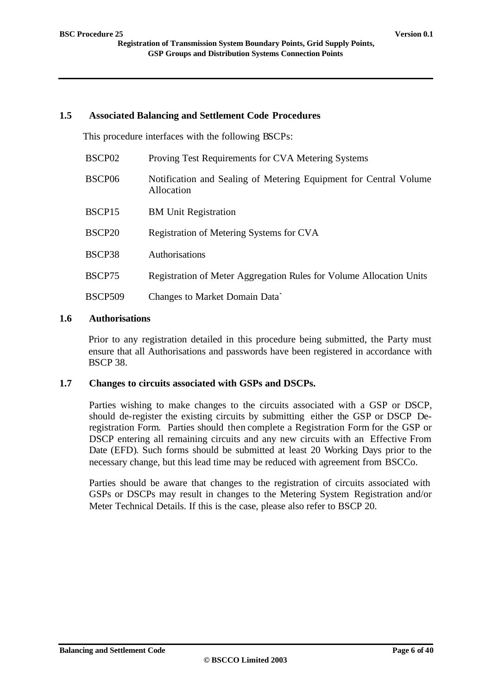#### **1.5 Associated Balancing and Settlement Code Procedures**

This procedure interfaces with the following BSCPs:

| BSCP <sub>02</sub> | Proving Test Requirements for CVA Metering Systems                              |
|--------------------|---------------------------------------------------------------------------------|
| BSCP06             | Notification and Sealing of Metering Equipment for Central Volume<br>Allocation |
| BSCP15             | <b>BM Unit Registration</b>                                                     |
| BSCP <sub>20</sub> | Registration of Metering Systems for CVA                                        |
| BSCP38             | Authorisations                                                                  |
| BSCP75             | Registration of Meter Aggregation Rules for Volume Allocation Units             |
| <b>BSCP509</b>     | Changes to Market Domain Data`                                                  |

### **1.6 Authorisations**

Prior to any registration detailed in this procedure being submitted, the Party must ensure that all Authorisations and passwords have been registered in accordance with BSCP 38.

### **1.7 Changes to circuits associated with GSPs and DSCPs.**

Parties wishing to make changes to the circuits associated with a GSP or DSCP, should de-register the existing circuits by submitting either the GSP or DSCP Deregistration Form. Parties should then complete a Registration Form for the GSP or DSCP entering all remaining circuits and any new circuits with an Effective From Date (EFD). Such forms should be submitted at least 20 Working Days prior to the necessary change, but this lead time may be reduced with agreement from BSCCo.

Parties should be aware that changes to the registration of circuits associated with GSPs or DSCPs may result in changes to the Metering System Registration and/or Meter Technical Details. If this is the case, please also refer to BSCP 20.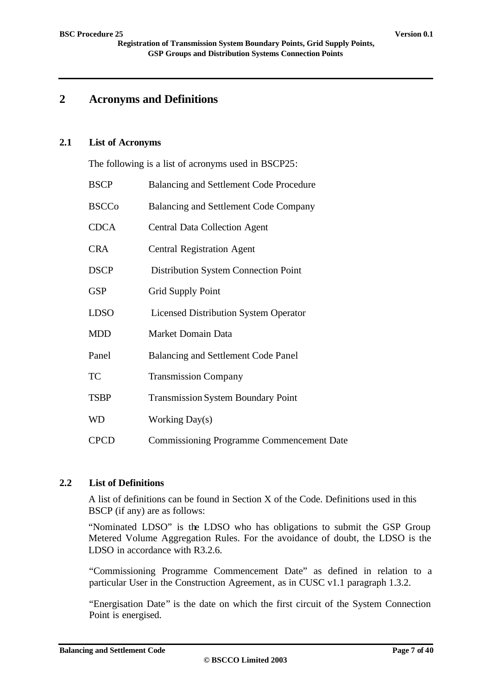# **2 Acronyms and Definitions**

#### **2.1 List of Acronyms**

The following is a list of acronyms used in BSCP25:

| <b>BSCP</b>  | Balancing and Settlement Code Procedure          |
|--------------|--------------------------------------------------|
| <b>BSCCo</b> | Balancing and Settlement Code Company            |
| <b>CDCA</b>  | <b>Central Data Collection Agent</b>             |
| <b>CRA</b>   | <b>Central Registration Agent</b>                |
| <b>DSCP</b>  | Distribution System Connection Point             |
| <b>GSP</b>   | <b>Grid Supply Point</b>                         |
| <b>LDSO</b>  | <b>Licensed Distribution System Operator</b>     |
| <b>MDD</b>   | Market Domain Data                               |
| Panel        | Balancing and Settlement Code Panel              |
| <b>TC</b>    | <b>Transmission Company</b>                      |
| <b>TSBP</b>  | <b>Transmission System Boundary Point</b>        |
| <b>WD</b>    | <b>Working Day(s)</b>                            |
| <b>CPCD</b>  | <b>Commissioning Programme Commencement Date</b> |

### **2.2 List of Definitions**

A list of definitions can be found in Section X of the Code. Definitions used in this BSCP (if any) are as follows:

"Nominated LDSO" is the LDSO who has obligations to submit the GSP Group Metered Volume Aggregation Rules. For the avoidance of doubt, the LDSO is the LDSO in accordance with R3.2.6.

"Commissioning Programme Commencement Date" as defined in relation to a particular User in the Construction Agreement, as in CUSC v1.1 paragraph 1.3.2.

"Energisation Date" is the date on which the first circuit of the System Connection Point is energised.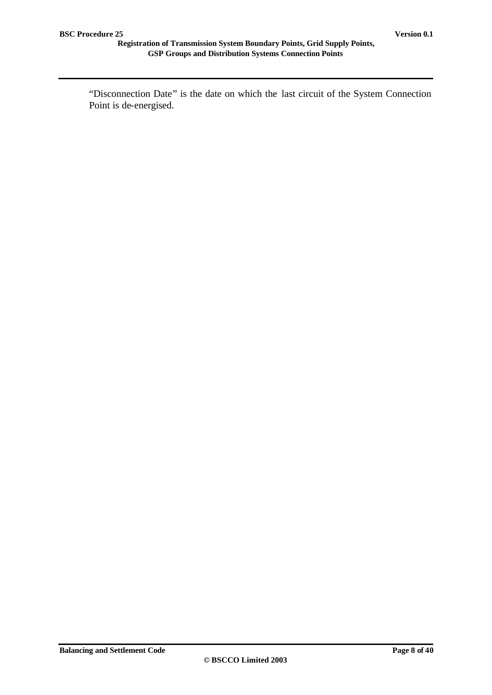"Disconnection Date" is the date on which the last circuit of the System Connection Point is de-energised.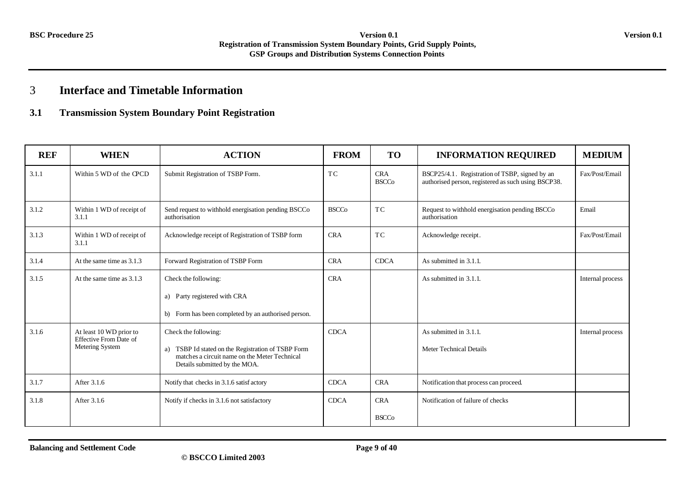# 3 **Interface and Timetable Information**

### **3.1 Transmission System Boundary Point Registration**

| <b>REF</b> | <b>WHEN</b>                                                                 | <b>ACTION</b>                                                                                                                                                   | <b>FROM</b>  | <b>TO</b>                  | <b>INFORMATION REQUIRED</b>                                                                           | <b>MEDIUM</b>    |
|------------|-----------------------------------------------------------------------------|-----------------------------------------------------------------------------------------------------------------------------------------------------------------|--------------|----------------------------|-------------------------------------------------------------------------------------------------------|------------------|
| 3.1.1      | Within 5 WD of the CPCD                                                     | Submit Registration of TSBP Form.                                                                                                                               | TC           | <b>CRA</b><br><b>BSCCo</b> | BSCP25/4.1. Registration of TSBP, signed by an<br>authorised person, registered as such using BSCP38. | Fax/Post/Email   |
| 3.1.2      | Within 1 WD of receipt of<br>3.1.1                                          | Send request to withhold energisation pending BSCCo<br>authorisation                                                                                            | <b>BSCCo</b> | TC                         | Request to withhold energisation pending BSCCo<br>authorisation                                       | Email            |
| 3.1.3      | Within 1 WD of receipt of<br>3.1.1                                          | Acknowledge receipt of Registration of TSBP form                                                                                                                | <b>CRA</b>   | <b>TC</b>                  | Acknowledge receipt.                                                                                  | Fax/Post/Email   |
| 3.1.4      | At the same time as 3.1.3                                                   | Forward Registration of TSBP Form                                                                                                                               | <b>CRA</b>   | <b>CDCA</b>                | As submitted in 3.1.1.                                                                                |                  |
| 3.1.5      | At the same time as 3.1.3                                                   | Check the following:<br>a) Party registered with CRA<br>b) Form has been completed by an authorised person.                                                     | <b>CRA</b>   |                            | As submitted in 3.1.1.                                                                                | Internal process |
| 3.1.6      | At least 10 WD prior to<br><b>Effective From Date of</b><br>Metering System | Check the following:<br>TSBP Id stated on the Registration of TSBP Form<br>a)<br>matches a circuit name on the Meter Technical<br>Details submitted by the MOA. | <b>CDCA</b>  |                            | As submitted in 3.1.1.<br><b>Meter Technical Details</b>                                              | Internal process |
| 3.1.7      | After 3.1.6                                                                 | Notify that checks in 3.1.6 satisfactory                                                                                                                        | <b>CDCA</b>  | <b>CRA</b>                 | Notification that process can proceed.                                                                |                  |
| 3.1.8      | After 3.1.6                                                                 | Notify if checks in 3.1.6 not satisfactory                                                                                                                      | <b>CDCA</b>  | <b>CRA</b><br><b>BSCCo</b> | Notification of failure of checks                                                                     |                  |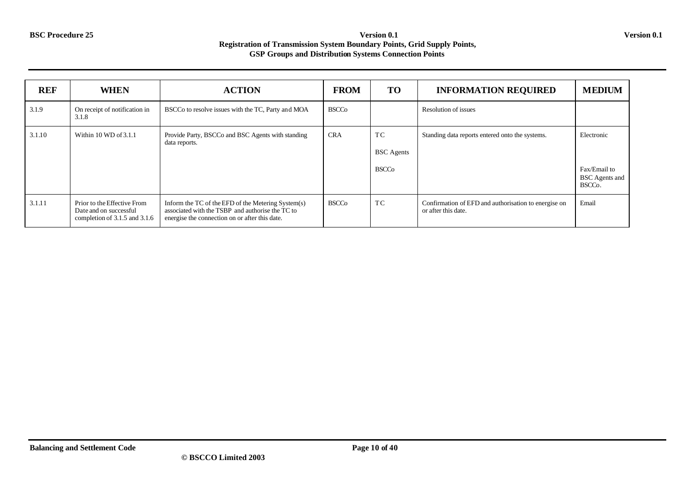| <b>REF</b> | <b>WHEN</b>                                                                            | <b>ACTION</b>                                                                                                                                            | <b>FROM</b>  | <b>TO</b>                               | <b>INFORMATION REQUIRED</b>                                                 | <b>MEDIUM</b>                                                              |
|------------|----------------------------------------------------------------------------------------|----------------------------------------------------------------------------------------------------------------------------------------------------------|--------------|-----------------------------------------|-----------------------------------------------------------------------------|----------------------------------------------------------------------------|
| 3.1.9      | On receipt of notification in<br>3.1.8                                                 | BSCCo to resolve issues with the TC, Party and MOA                                                                                                       | <b>BSCCo</b> |                                         | Resolution of issues                                                        |                                                                            |
| 3.1.10     | Within $10$ WD of $3.1.1$                                                              | Provide Party, BSCCo and BSC Agents with standing<br>data reports.                                                                                       | <b>CRA</b>   | TC<br><b>BSC</b> Agents<br><b>BSCCo</b> | Standing data reports entered onto the systems.                             | Electronic<br>Fax/Email to<br><b>BSC</b> Agents and<br>BSCC <sub>o</sub> . |
| 3.1.11     | Prior to the Effective From<br>Date and on successful<br>completion of 3.1.5 and 3.1.6 | Inform the TC of the EFD of the Metering System(s)<br>associated with the TSBP and authorise the TC to<br>energise the connection on or after this date. | <b>BSCCo</b> | TC                                      | Confirmation of EFD and authorisation to energise on<br>or after this date. | Email                                                                      |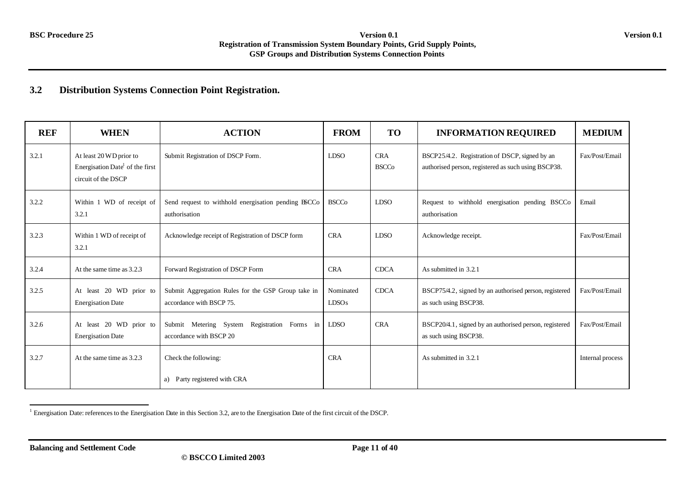### **3.2 Distribution Systems Connection Point Registration.**

| <b>REF</b> | <b>WHEN</b>                                                                                   | <b>ACTION</b>                                                                  | <b>FROM</b>                    | <b>TO</b>                  | <b>INFORMATION REQUIRED</b>                                                                           | <b>MEDIUM</b>    |
|------------|-----------------------------------------------------------------------------------------------|--------------------------------------------------------------------------------|--------------------------------|----------------------------|-------------------------------------------------------------------------------------------------------|------------------|
| 3.2.1      | At least 20 WD prior to<br>Energisation Date <sup>1</sup> of the first<br>circuit of the DSCP | Submit Registration of DSCP Form.                                              | <b>LDSO</b>                    | <b>CRA</b><br><b>BSCCo</b> | BSCP25/4.2. Registration of DSCP, signed by an<br>authorised person, registered as such using BSCP38. | Fax/Post/Email   |
| 3.2.2      | Within 1 WD of receipt of<br>3.2.1                                                            | Send request to withhold energisation pending BSCCo<br>authorisation           | <b>BSCCo</b>                   | <b>LDSO</b>                | Request to withhold energisation pending BSCCo<br>authorisation                                       | Email            |
| 3.2.3      | Within 1 WD of receipt of<br>3.2.1                                                            | Acknowledge receipt of Registration of DSCP form                               | <b>CRA</b>                     | <b>LDSO</b>                | Acknowledge receipt.                                                                                  | Fax/Post/Email   |
| 3.2.4      | At the same time as 3.2.3                                                                     | Forward Registration of DSCP Form                                              | <b>CRA</b>                     | <b>CDCA</b>                | As submitted in 3.2.1                                                                                 |                  |
| 3.2.5      | At least 20 WD prior to<br><b>Energisation Date</b>                                           | Submit Aggregation Rules for the GSP Group take in<br>accordance with BSCP 75. | Nominated<br>LDSO <sub>s</sub> | <b>CDCA</b>                | BSCP75/4.2, signed by an authorised person, registered<br>as such using BSCP38.                       | Fax/Post/Email   |
| 3.2.6      | At least 20 WD prior to<br><b>Energisation Date</b>                                           | Submit Metering System Registration Forms in<br>accordance with BSCP 20        | <b>LDSO</b>                    | <b>CRA</b>                 | BSCP20/4.1, signed by an authorised person, registered<br>as such using BSCP38.                       | Fax/Post/Email   |
| 3.2.7      | At the same time as 3.2.3                                                                     | Check the following:                                                           | <b>CRA</b>                     |                            | As submitted in 3.2.1                                                                                 | Internal process |
|            |                                                                                               | Party registered with CRA<br>a)                                                |                                |                            |                                                                                                       |                  |

 1 Energisation Date: references to the Energisation Date in this Section 3.2, are to the Energisation Date of the first circuit of the DSCP.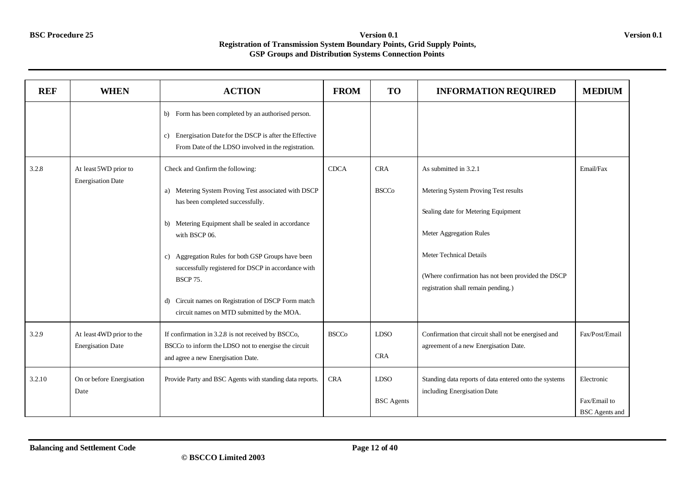| <b>REF</b> | <b>WHEN</b>                                           | <b>ACTION</b>                                                                                                                                                                                                                                                                                                                                                                        | <b>FROM</b>  | TO                               | <b>INFORMATION REQUIRED</b>                                                                                                     | <b>MEDIUM</b>                                       |
|------------|-------------------------------------------------------|--------------------------------------------------------------------------------------------------------------------------------------------------------------------------------------------------------------------------------------------------------------------------------------------------------------------------------------------------------------------------------------|--------------|----------------------------------|---------------------------------------------------------------------------------------------------------------------------------|-----------------------------------------------------|
| 3.2.8      | At least 5WD prior to<br><b>Energisation Date</b>     | Form has been completed by an authorised person.<br>b)<br>Energisation Date for the DSCP is after the Effective<br>c)<br>From Date of the LDSO involved in the registration.<br>Check and Confirm the following:<br>a) Metering System Proving Test associated with DSCP<br>has been completed successfully.<br>b) Metering Equipment shall be sealed in accordance<br>with BSCP 06. | <b>CDCA</b>  | <b>CRA</b><br><b>BSCCo</b>       | As submitted in 3.2.1<br>Metering System Proving Test results<br>Sealing date for Metering Equipment<br>Meter Aggregation Rules | Email/Fax                                           |
|            |                                                       | c) Aggregation Rules for both GSP Groups have been<br>successfully registered for DSCP in accordance with<br><b>BSCP 75.</b><br>Circuit names on Registration of DSCP Form match<br>d)<br>circuit names on MTD submitted by the MOA.                                                                                                                                                 |              |                                  | <b>Meter Technical Details</b><br>(Where confirmation has not been provided the DSCP<br>registration shall remain pending.)     |                                                     |
| 3.2.9      | At least 4WD prior to the<br><b>Energisation Date</b> | If confirmation in 3.2.8 is not received by BSCCo,<br>BSCCo to inform the LDSO not to energise the circuit<br>and agree a new Energisation Date.                                                                                                                                                                                                                                     | <b>BSCCo</b> | <b>LDSO</b><br><b>CRA</b>        | Confirmation that circuit shall not be energised and<br>agreement of a new Energisation Date.                                   | Fax/Post/Email                                      |
| 3.2.10     | On or before Energisation<br>Date                     | Provide Party and BSC Agents with standing data reports.                                                                                                                                                                                                                                                                                                                             | <b>CRA</b>   | <b>LDSO</b><br><b>BSC</b> Agents | Standing data reports of data entered onto the systems<br>including Energisation Date                                           | Electronic<br>Fax/Email to<br><b>BSC</b> Agents and |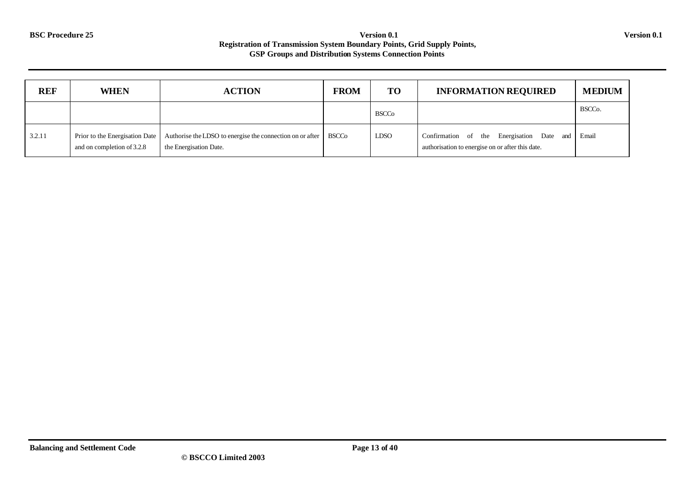| <b>REF</b> | <b>WHEN</b>                                                  | <b>ACTION</b>                                                                               | <b>FROM</b> | <b>TO</b>    | <b>INFORMATION REQUIRED</b>                                                                   | <b>MEDIUM</b>       |
|------------|--------------------------------------------------------------|---------------------------------------------------------------------------------------------|-------------|--------------|-----------------------------------------------------------------------------------------------|---------------------|
|            |                                                              |                                                                                             |             | <b>BSCCo</b> |                                                                                               | BSCC <sub>o</sub> . |
| 3.2.11     | Prior to the Energisation Date<br>and on completion of 3.2.8 | Authorise the LDSO to energise the connection on or after   BSCCo<br>the Energisation Date. |             | <b>LDSO</b>  | Confirmation of the Energisation Date and<br>authorisation to energise on or after this date. | Email               |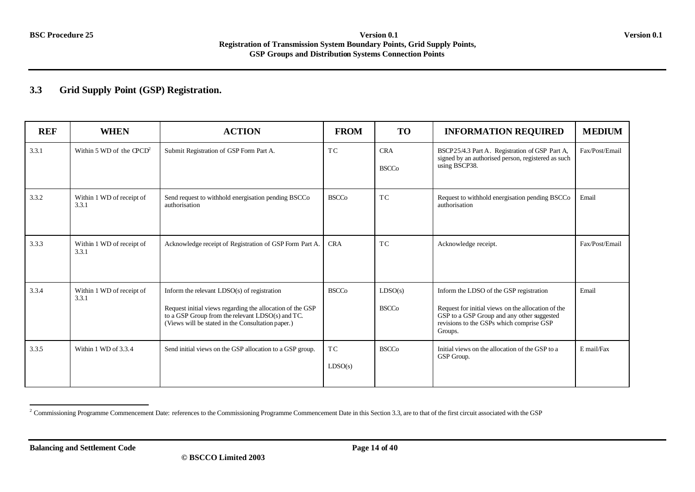## **3.3 Grid Supply Point (GSP) Registration.**

| <b>REF</b> | <b>WHEN</b>                        | <b>ACTION</b>                                                                                                                                                                                                       | <b>FROM</b>               | <b>TO</b>                  | <b>INFORMATION REQUIRED</b>                                                                                                                                                                        | <b>MEDIUM</b>  |
|------------|------------------------------------|---------------------------------------------------------------------------------------------------------------------------------------------------------------------------------------------------------------------|---------------------------|----------------------------|----------------------------------------------------------------------------------------------------------------------------------------------------------------------------------------------------|----------------|
| 3.3.1      | Within 5 WD of the $\text{QCD}^2$  | Submit Registration of GSP Form Part A.                                                                                                                                                                             | TC                        | <b>CRA</b><br><b>BSCCo</b> | BSCP25/4.3 Part A. Registration of GSP Part A,<br>signed by an authorised person, registered as such<br>using BSCP38.                                                                              | Fax/Post/Email |
| 3.3.2      | Within 1 WD of receipt of<br>3.3.1 | Send request to withhold energisation pending BSCCo<br>authorisation                                                                                                                                                | <b>BSCCo</b>              | <b>TC</b>                  | Request to withhold energisation pending BSCCo<br>authorisation                                                                                                                                    | Email          |
| 3.3.3      | Within 1 WD of receipt of<br>3.3.1 | Acknowledge receipt of Registration of GSP Form Part A.                                                                                                                                                             | <b>CRA</b>                | <b>TC</b>                  | Acknowledge receipt.                                                                                                                                                                               | Fax/Post/Email |
| 3.3.4      | Within 1 WD of receipt of<br>3.3.1 | Inform the relevant $LDSO(s)$ of registration<br>Request initial views regarding the allocation of the GSP<br>to a GSP Group from the relevant LDSO(s) and TC.<br>(Views will be stated in the Consultation paper.) | <b>BSCCo</b>              | LDSO(s)<br><b>BSCCo</b>    | Inform the LDSO of the GSP registration<br>Request for initial views on the allocation of the<br>GSP to a GSP Group and any other suggested<br>revisions to the GSPs which comprise GSP<br>Groups. | Email          |
| 3.3.5      | Within 1 WD of 3.3.4               | Send initial views on the GSP allocation to a GSP group.                                                                                                                                                            | T <sub>C</sub><br>LDSO(s) | <b>BSCCo</b>               | Initial views on the allocation of the GSP to a<br>GSP Group.                                                                                                                                      | E mail/Fax     |

<sup>&</sup>lt;sup>2</sup> Commissioning Programme Commencement Date: references to the Commissioning Programme Commencement Date in this Section 3.3, are to that of the first circuit associated with the GSP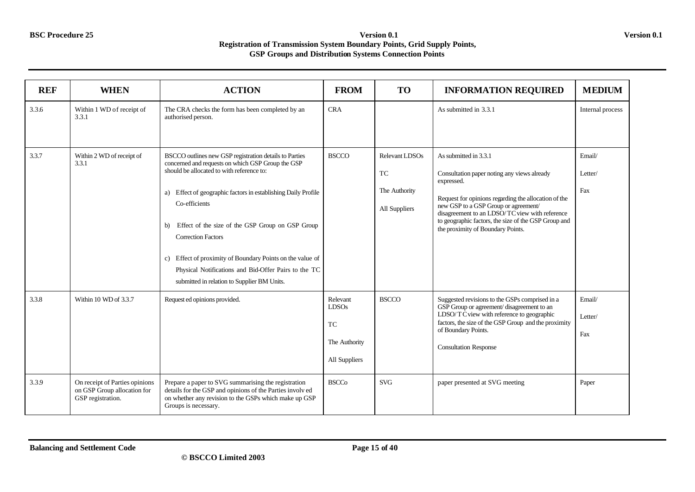| <b>REF</b> | <b>WHEN</b>                                                                        | <b>ACTION</b>                                                                                                                                                                                                                                                                                                                                                                                                                                                                                         | <b>FROM</b>                                                      | <b>TO</b>                                              | <b>INFORMATION REQUIRED</b>                                                                                                                                                                                                                                                                                                       | <b>MEDIUM</b>            |
|------------|------------------------------------------------------------------------------------|-------------------------------------------------------------------------------------------------------------------------------------------------------------------------------------------------------------------------------------------------------------------------------------------------------------------------------------------------------------------------------------------------------------------------------------------------------------------------------------------------------|------------------------------------------------------------------|--------------------------------------------------------|-----------------------------------------------------------------------------------------------------------------------------------------------------------------------------------------------------------------------------------------------------------------------------------------------------------------------------------|--------------------------|
| 3.3.6      | Within 1 WD of receipt of<br>3.3.1                                                 | The CRA checks the form has been completed by an<br>authorised person.                                                                                                                                                                                                                                                                                                                                                                                                                                | <b>CRA</b>                                                       |                                                        | As submitted in 3.3.1                                                                                                                                                                                                                                                                                                             | Internal process         |
| 3.3.7      | Within 2 WD of receipt of<br>3.3.1                                                 | BSCCO outlines new GSP registration details to Parties<br>concerned and requests on which GSP Group the GSP<br>should be allocated to with reference to:<br>a) Effect of geographic factors in establishing Daily Profile<br>Co-efficients<br>Effect of the size of the GSP Group on GSP Group<br>b)<br><b>Correction Factors</b><br>c) Effect of proximity of Boundary Points on the value of<br>Physical Notifications and Bid-Offer Pairs to the TC<br>submitted in relation to Supplier BM Units. | <b>BSCCO</b>                                                     | Relevant LDSOs<br>TC<br>The Authority<br>All Suppliers | As submitted in 3.3.1<br>Consultation paper noting any views already<br>expressed.<br>Request for opinions regarding the allocation of the<br>new GSP to a GSP Group or agreement/<br>disagreement to an LDSO/TC view with reference<br>to geographic factors, the size of the GSP Group and<br>the proximity of Boundary Points. | Email/<br>Letter/<br>Fax |
| 3.3.8      | Within 10 WD of 3.3.7                                                              | Request ed opinions provided.                                                                                                                                                                                                                                                                                                                                                                                                                                                                         | Relevant<br>LDSOs<br><b>TC</b><br>The Authority<br>All Suppliers | <b>BSCCO</b>                                           | Suggested revisions to the GSPs comprised in a<br>GSP Group or agreement/disagreement to an<br>LDSO/T $\dot{\text{C}}$ view with reference to geographic<br>factors, the size of the GSP Group and the proximity<br>of Boundary Points.<br><b>Consultation Response</b>                                                           | Email/<br>Letter/<br>Fax |
| 3.3.9      | On receipt of Parties opinions<br>on GSP Group allocation for<br>GSP registration. | Prepare a paper to SVG summarising the registration<br>details for the GSP and opinions of the Parties involved<br>on whether any revision to the GSPs which make up GSP<br>Groups is necessary.                                                                                                                                                                                                                                                                                                      | <b>BSCCo</b>                                                     | <b>SVG</b>                                             | paper presented at SVG meeting                                                                                                                                                                                                                                                                                                    | Paper                    |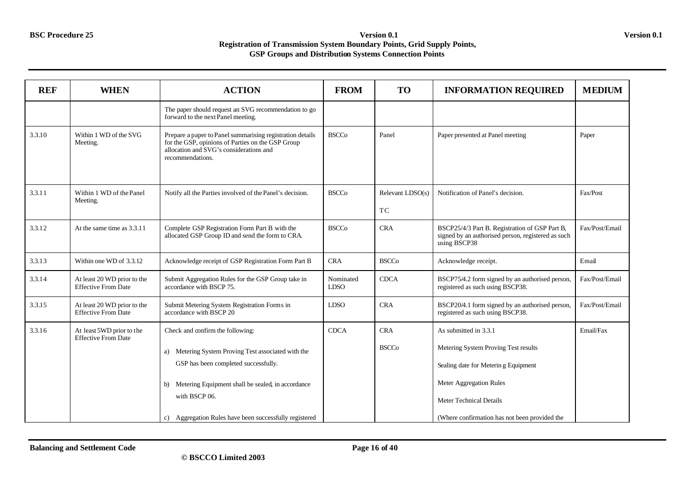| <b>REF</b> | <b>WHEN</b>                                               | <b>ACTION</b>                                                                                                                                                                                                                                                             | <b>FROM</b>              | <b>TO</b>                  | <b>INFORMATION REQUIRED</b>                                                                                                                                                                                 | <b>MEDIUM</b>  |
|------------|-----------------------------------------------------------|---------------------------------------------------------------------------------------------------------------------------------------------------------------------------------------------------------------------------------------------------------------------------|--------------------------|----------------------------|-------------------------------------------------------------------------------------------------------------------------------------------------------------------------------------------------------------|----------------|
|            |                                                           | The paper should request an SVG recommendation to go<br>forward to the next Panel meeting.                                                                                                                                                                                |                          |                            |                                                                                                                                                                                                             |                |
| 3.3.10     | Within 1 WD of the SVG<br>Meeting.                        | Prepare a paper to Panel summarising registration details<br>for the GSP, opinions of Parties on the GSP Group<br>allocation and SVG's considerations and<br>recommendations.                                                                                             | <b>BSCCo</b>             | Panel                      | Paper presented at Panel meeting                                                                                                                                                                            | Paper          |
| 3.3.11     | Within 1 WD of the Panel<br>Meeting.                      | Notify all the Parties involved of the Panel's decision.                                                                                                                                                                                                                  | <b>BSCCo</b>             | Relevant LDSO(s)<br>TC     | Notification of Panel's decision.                                                                                                                                                                           | Fax/Post       |
| 3.3.12     | At the same time as 3.3.11                                | Complete GSP Registration Form Part B with the<br>allocated GSP Group ID and send the form to CRA.                                                                                                                                                                        | <b>BSCCo</b>             | <b>CRA</b>                 | BSCP25/4/3 Part B. Registration of GSP Part B,<br>signed by an authorised person, registered as such<br>using BSCP38                                                                                        | Fax/Post/Email |
| 3.3.13     | Within one WD of 3.3.12                                   | Acknowledge receipt of GSP Registration Form Part B                                                                                                                                                                                                                       | <b>CRA</b>               | <b>BSCCo</b>               | Acknowledge receipt.                                                                                                                                                                                        | Email          |
| 3.3.14     | At least 20 WD prior to the<br><b>Effective From Date</b> | Submit Aggregation Rules for the GSP Group take in<br>accordance with BSCP 75.                                                                                                                                                                                            | Nominated<br><b>LDSO</b> | <b>CDCA</b>                | BSCP75/4.2 form signed by an authorised person,<br>registered as such using BSCP38.                                                                                                                         | Fax/Post/Email |
| 3.3.15     | At least 20 WD prior to the<br><b>Effective From Date</b> | Submit Metering System Registration Forms in<br>accordance with BSCP 20                                                                                                                                                                                                   | <b>LDSO</b>              | <b>CRA</b>                 | BSCP20/4.1 form signed by an authorised person,<br>registered as such using BSCP38.                                                                                                                         | Fax/Post/Email |
| 3.3.16     | At least 5WD prior to the<br><b>Effective From Date</b>   | Check and confirm the following:<br>Metering System Proving Test associated with the<br>a)<br>GSP has been completed successfully.<br>Metering Equipment shall be sealed, in accordance<br>b).<br>with BSCP 06.<br>c) Aggregation Rules have been successfully registered | <b>CDCA</b>              | <b>CRA</b><br><b>BSCCo</b> | As submitted in 3.3.1<br>Metering System Proving Test results<br>Sealing date for Metering Equipment<br>Meter Aggregation Rules<br>Meter Technical Details<br>(Where confirmation has not been provided the | Email/Fax      |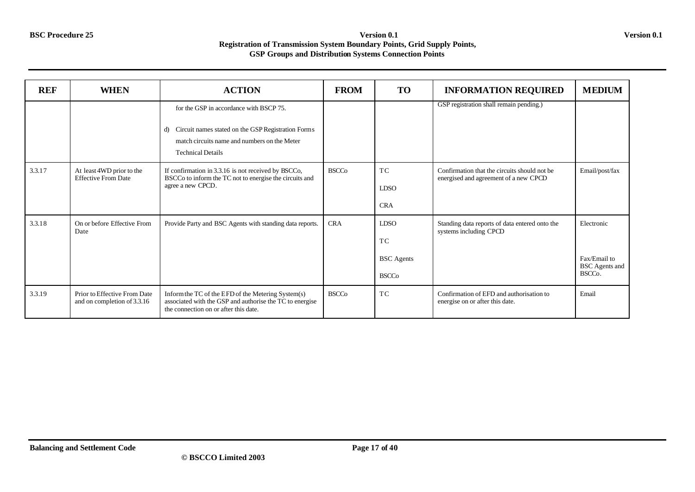| <b>REF</b> | <b>WHEN</b>                                                 | <b>ACTION</b>                                                                                                                                           | <b>FROM</b>  | <b>TO</b>         | <b>INFORMATION REQUIRED</b>                                                            | <b>MEDIUM</b>                         |
|------------|-------------------------------------------------------------|---------------------------------------------------------------------------------------------------------------------------------------------------------|--------------|-------------------|----------------------------------------------------------------------------------------|---------------------------------------|
|            |                                                             | for the GSP in accordance with BSCP 75.                                                                                                                 |              |                   | GSP registration shall remain pending.)                                                |                                       |
|            |                                                             | Circuit names stated on the GSP Registration Forms<br>d)<br>match circuits name and numbers on the Meter<br><b>Technical Details</b>                    |              |                   |                                                                                        |                                       |
| 3.3.17     | At least 4WD prior to the<br><b>Effective From Date</b>     | If confirmation in 3.3.16 is not received by BSCCo,<br>BSCCo to inform the TC not to energise the circuits and                                          | <b>BSCCo</b> | TC                | Confirmation that the circuits should not be.<br>energised and agreement of a new CPCD | Email/post/fax                        |
|            |                                                             | agree a new CPCD.                                                                                                                                       |              | <b>LDSO</b>       |                                                                                        |                                       |
|            |                                                             |                                                                                                                                                         |              | <b>CRA</b>        |                                                                                        |                                       |
| 3.3.18     | On or before Effective From<br>Date                         | Provide Party and BSC Agents with standing data reports.                                                                                                | <b>CRA</b>   | <b>LDSO</b>       | Standing data reports of data entered onto the<br>systems including CPCD               | Electronic                            |
|            |                                                             |                                                                                                                                                         |              | TC                |                                                                                        |                                       |
|            |                                                             |                                                                                                                                                         |              | <b>BSC</b> Agents |                                                                                        | Fax/Email to<br><b>BSC</b> Agents and |
|            |                                                             |                                                                                                                                                         |              | <b>BSCCo</b>      |                                                                                        | BSCC <sub>o</sub> .                   |
| 3.3.19     | Prior to Effective From Date<br>and on completion of 3.3.16 | Inform the TC of the EFD of the Metering System(s)<br>associated with the GSP and authorise the TC to energise<br>the connection on or after this date. | <b>BSCCo</b> | TC                | Confirmation of EFD and authorisation to<br>energise on or after this date.            | Email                                 |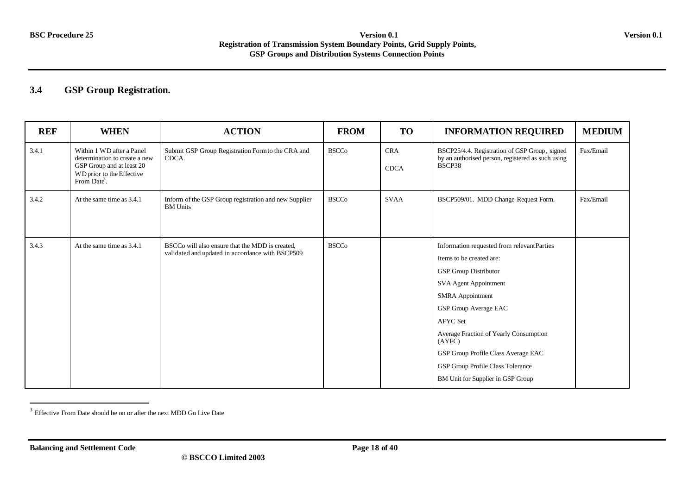## **3.4 GSP Group Registration.**

| <b>REF</b> | <b>WHEN</b>                                                                                                                        | <b>ACTION</b>                                                                                       | <b>FROM</b>  | <b>TO</b>                 | <b>INFORMATION REQUIRED</b>                                                                                                                                                                                                                                                                                                                                                        | <b>MEDIUM</b> |
|------------|------------------------------------------------------------------------------------------------------------------------------------|-----------------------------------------------------------------------------------------------------|--------------|---------------------------|------------------------------------------------------------------------------------------------------------------------------------------------------------------------------------------------------------------------------------------------------------------------------------------------------------------------------------------------------------------------------------|---------------|
| 3.4.1      | Within 1 WD after a Panel<br>determination to create a new<br>GSP Group and at least 20<br>WD prior to the Effective<br>From Date. | Submit GSP Group Registration Form to the CRA and<br>CDCA.                                          | <b>BSCCo</b> | <b>CRA</b><br><b>CDCA</b> | BSCP25/4.4. Registration of GSP Group, signed<br>by an authorised person, registered as such using<br>BSCP38                                                                                                                                                                                                                                                                       | Fax/Email     |
| 3.4.2      | At the same time as 3.4.1                                                                                                          | Inform of the GSP Group registration and new Supplier<br><b>BM</b> Units                            | <b>BSCCo</b> | <b>SVAA</b>               | BSCP509/01. MDD Change Request Form.                                                                                                                                                                                                                                                                                                                                               | Fax/Email     |
| 3.4.3      | At the same time as 3.4.1                                                                                                          | BSCCo will also ensure that the MDD is created.<br>validated and updated in accordance with BSCP509 | <b>BSCCo</b> |                           | Information requested from relevantParties<br>Items to be created are:<br><b>GSP</b> Group Distributor<br>SVA Agent Appointment<br><b>SMRA</b> Appointment<br><b>GSP Group Average EAC</b><br><b>AFYC</b> Set<br>Average Fraction of Yearly Consumption<br>(AYFC)<br>GSP Group Profile Class Average EAC<br>GSP Group Profile Class Tolerance<br>BM Unit for Supplier in GSP Group |               |

<sup>&</sup>lt;sup>3</sup> Effective From Date should be on or after the next MDD Go Live Date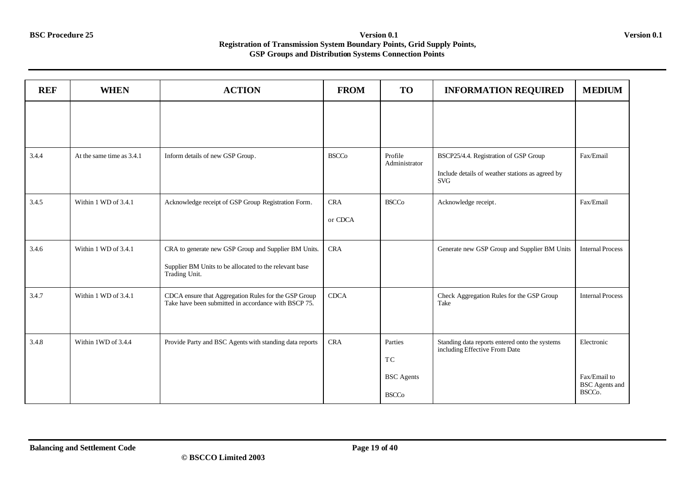| <b>REF</b> | <b>WHEN</b>               | <b>ACTION</b>                                                                                                | <b>FROM</b>  | <b>TO</b>                | <b>INFORMATION REQUIRED</b>                                                     | <b>MEDIUM</b>                         |
|------------|---------------------------|--------------------------------------------------------------------------------------------------------------|--------------|--------------------------|---------------------------------------------------------------------------------|---------------------------------------|
|            |                           |                                                                                                              |              |                          |                                                                                 |                                       |
|            |                           |                                                                                                              |              |                          |                                                                                 |                                       |
| 3.4.4      | At the same time as 3.4.1 | Inform details of new GSP Group.                                                                             | <b>BSCCo</b> | Profile<br>Administrator | BSCP25/4.4. Registration of GSP Group                                           | Fax/Email                             |
|            |                           |                                                                                                              |              |                          | Include details of weather stations as agreed by<br><b>SVG</b>                  |                                       |
| 3.4.5      | Within 1 WD of 3.4.1      | Acknowledge receipt of GSP Group Registration Form.                                                          | <b>CRA</b>   | <b>BSCCo</b>             | Acknowledge receipt.                                                            | Fax/Email                             |
|            |                           |                                                                                                              | or CDCA      |                          |                                                                                 |                                       |
| 3.4.6      | Within 1 WD of 3.4.1      | CRA to generate new GSP Group and Supplier BM Units.                                                         | CRA          |                          | Generate new GSP Group and Supplier BM Units                                    | <b>Internal Process</b>               |
|            |                           | Supplier BM Units to be allocated to the relevant base<br>Trading Unit.                                      |              |                          |                                                                                 |                                       |
| 3.4.7      | Within 1 WD of 3.4.1      | CDCA ensure that Aggregation Rules for the GSP Group<br>Take have been submitted in accordance with BSCP 75. | <b>CDCA</b>  |                          | Check Aggregation Rules for the GSP Group<br>Take                               | <b>Internal Process</b>               |
|            |                           |                                                                                                              |              |                          |                                                                                 |                                       |
| 3.4.8      | Within 1WD of 3.4.4       | Provide Party and BSC Agents with standing data reports                                                      | <b>CRA</b>   | Parties                  | Standing data reports entered onto the systems<br>including Effective From Date | Electronic                            |
|            |                           |                                                                                                              |              | TC                       |                                                                                 |                                       |
|            |                           |                                                                                                              |              | <b>BSC</b> Agents        |                                                                                 | Fax/Email to<br><b>BSC</b> Agents and |
|            |                           |                                                                                                              |              | <b>BSCCo</b>             |                                                                                 | BSCC <sub>o</sub> .                   |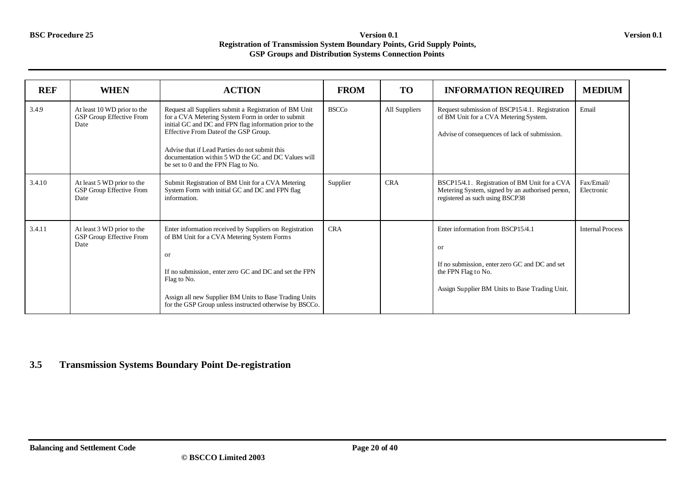| <b>REF</b> | <b>WHEN</b>                                                     | <b>ACTION</b>                                                                                                                                                                                                                                                                                                                                                   | <b>FROM</b>  | <b>TO</b>     | <b>INFORMATION REQUIRED</b>                                                                                                                                        | <b>MEDIUM</b>            |
|------------|-----------------------------------------------------------------|-----------------------------------------------------------------------------------------------------------------------------------------------------------------------------------------------------------------------------------------------------------------------------------------------------------------------------------------------------------------|--------------|---------------|--------------------------------------------------------------------------------------------------------------------------------------------------------------------|--------------------------|
| 3.4.9      | At least 10 WD prior to the<br>GSP Group Effective From<br>Date | Request all Suppliers submit a Registration of BM Unit<br>for a CVA Metering System Form in order to submit<br>initial GC and DC and FPN flag information prior to the<br>Effective From Date of the GSP Group.<br>Advise that if Lead Parties do not submit this<br>documentation within 5 WD the GC and DC Values will<br>be set to 0 and the FPN Flag to No. | <b>BSCCo</b> | All Suppliers | Request submission of BSCP15/4.1. Registration<br>of BM Unit for a CVA Metering System.<br>Advise of consequences of lack of submission.                           | Email                    |
| 3.4.10     | At least 5 WD prior to the<br>GSP Group Effective From<br>Date  | Submit Registration of BM Unit for a CVA Metering<br>System Form with initial GC and DC and FPN flag<br>information.                                                                                                                                                                                                                                            | Supplier     | <b>CRA</b>    | BSCP15/4.1. Registration of BM Unit for a CVA<br>Metering System, signed by an authorised person,<br>registered as such using BSCP38                               | Fax/Email/<br>Electronic |
| 3.4.11     | At least 3 WD prior to the<br>GSP Group Effective From<br>Date  | Enter information received by Suppliers on Registration<br>of BM Unit for a CVA Metering System Forms<br><sub>or</sub><br>If no submission, enter zero GC and DC and set the FPN<br>Flag to No.<br>Assign all new Supplier BM Units to Base Trading Units<br>for the GSP Group unless instructed otherwise by BSCCo.                                            | <b>CRA</b>   |               | Enter information from BSCP15/4.1<br>or<br>If no submission, enter zero GC and DC and set<br>the FPN Flag to No.<br>Assign Supplier BM Units to Base Trading Unit. | <b>Internal Process</b>  |

**3.5 Transmission Systems Boundary Point De-registration**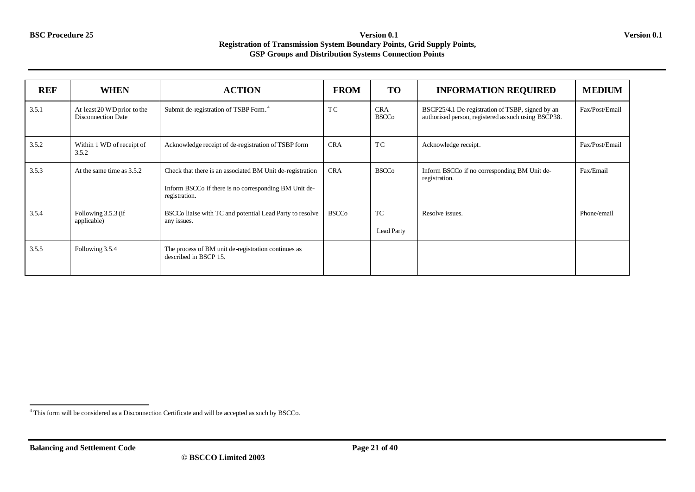| <b>REF</b> | <b>WHEN</b>                                              | <b>ACTION</b>                                                                                                                       | <b>FROM</b>  | <b>TO</b>                  | <b>INFORMATION REQUIRED</b>                                                                             | <b>MEDIUM</b>  |
|------------|----------------------------------------------------------|-------------------------------------------------------------------------------------------------------------------------------------|--------------|----------------------------|---------------------------------------------------------------------------------------------------------|----------------|
| 3.5.1      | At least 20 WD prior to the<br><b>Disconnection Date</b> | Submit de-registration of TSBP Form. <sup>4</sup>                                                                                   | TC.          | <b>CRA</b><br><b>BSCCo</b> | BSCP25/4.1 De-registration of TSBP, signed by an<br>authorised person, registered as such using BSCP38. | Fax/Post/Email |
| 3.5.2      | Within 1 WD of receipt of<br>3.5.2                       | Acknowledge receipt of de-registration of TSBP form                                                                                 | <b>CRA</b>   | <b>TC</b>                  | Acknowledge receipt.                                                                                    | Fax/Post/Email |
| 3.5.3      | At the same time as 3.5.2                                | Check that there is an associated BM Unit de-registration<br>Inform BSCCo if there is no corresponding BM Unit de-<br>registration. | <b>CRA</b>   | <b>BSCCo</b>               | Inform BSCCo if no corresponding BM Unit de-<br>registration.                                           | Fax/Email      |
| 3.5.4      | Following 3.5.3 (if<br>applicable)                       | BSCCo liaise with TC and potential Lead Party to resolve<br>any issues.                                                             | <b>BSCCo</b> | TC<br><b>Lead Party</b>    | Resolve issues.                                                                                         | Phone/email    |
| 3.5.5      | Following 3.5.4                                          | The process of BM unit de-registration continues as<br>described in BSCP 15.                                                        |              |                            |                                                                                                         |                |

l <sup>4</sup> This form will be considered as a Disconnection Certificate and will be accepted as such by BSCCo.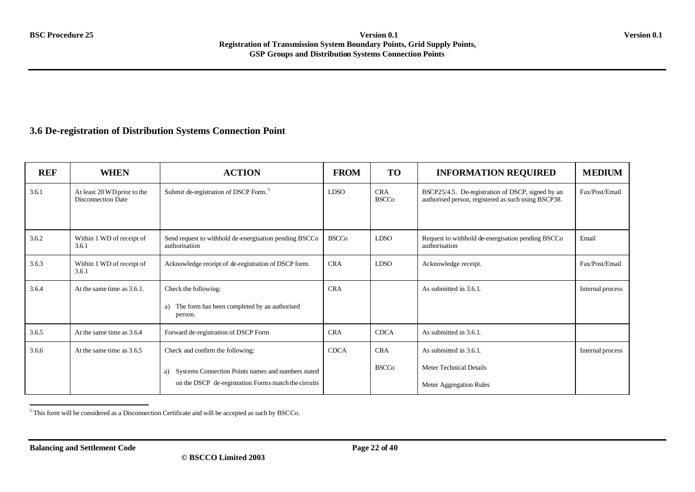### **3.6 De-registration of Distribution Systems Connection Point**

| <b>REF</b> | <b>WHEN</b>                                              | <b>ACTION</b>                                                                                                    | <b>FROM</b>  | <b>TO</b>                  | <b>INFORMATION REQUIRED</b>                                                                              | <b>MEDIUM</b>    |
|------------|----------------------------------------------------------|------------------------------------------------------------------------------------------------------------------|--------------|----------------------------|----------------------------------------------------------------------------------------------------------|------------------|
| 3.6.1      | At least 20 WD prior to the<br><b>Disconnection Date</b> | Submit de-registration of DSCP Form. <sup>5</sup>                                                                | <b>LDSO</b>  | <b>CRA</b><br><b>BSCCo</b> | BSCP25/4.5. De-registration of DSCP, signed by an<br>authorised person, registered as such using BSCP38. | Fax/Post/Email   |
| 3.6.2      | Within 1 WD of receipt of<br>3.6.1                       | Send request to withhold de-energisation pending BSCCo<br>authorisation                                          | <b>BSCCo</b> | <b>LDSO</b>                | Request to withhold de-energisation pending BSCCo<br>authorisation                                       | Email            |
| 3.6.3      | Within 1 WD of receipt of<br>3.6.1                       | Acknowledge receipt of de-registration of DSCP form.                                                             | <b>CRA</b>   | <b>LDSO</b>                | Acknowledge receipt.                                                                                     | Fax/Post/Email   |
| 3.6.4      | At the same time as 3.6.1.                               | Check the following:<br>The form has been completed by an authorised<br>a)<br>person.                            | <b>CRA</b>   |                            | As submitted in 3.6.1                                                                                    | Internal process |
| 3.6.5      | At the same time as 3.6.4                                | Forward de-registration of DSCP Form                                                                             | <b>CRA</b>   | <b>CDCA</b>                | As submitted in 3.6.1                                                                                    |                  |
| 3.6.6      | At the same time as 3.6.5                                | Check and confirm the following:                                                                                 | <b>CDCA</b>  | <b>CRA</b>                 | As submitted in 3.6.1.                                                                                   | Internal process |
|            |                                                          | Systems Connection Points names and numbers stated<br>a)<br>on the DSCP de-registration Forms match the circuits |              | <b>BSCCo</b>               | Meter Technical Details<br>Meter Aggregation Rules                                                       |                  |

l  $5$  This form will be considered as a Disconnection Certificate and will be accepted as such by BSCCo.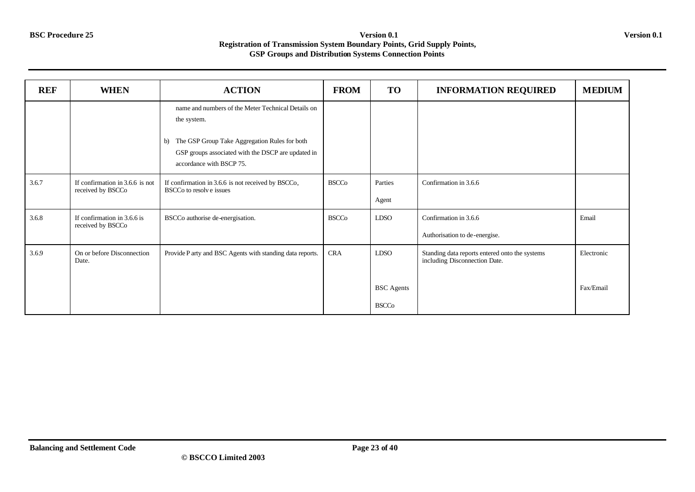| <b>REF</b> | <b>WHEN</b>                                          | <b>ACTION</b>                                                                                                                         | <b>FROM</b>  | <b>TO</b>         | <b>INFORMATION REQUIRED</b>                                                     | <b>MEDIUM</b> |
|------------|------------------------------------------------------|---------------------------------------------------------------------------------------------------------------------------------------|--------------|-------------------|---------------------------------------------------------------------------------|---------------|
|            |                                                      | name and numbers of the Meter Technical Details on<br>the system.                                                                     |              |                   |                                                                                 |               |
|            |                                                      | The GSP Group Take Aggregation Rules for both<br>b)<br>GSP groups associated with the DSCP are updated in<br>accordance with BSCP 75. |              |                   |                                                                                 |               |
| 3.6.7      | If confirmation in 3.6.6 is not<br>received by BSCCo | If confirmation in 3.6.6 is not received by BSCCo,<br>BSCCo to resolve issues                                                         | <b>BSCCo</b> | Parties<br>Agent  | Confirmation in 3.6.6                                                           |               |
| 3.6.8      | If confirmation in 3.6.6 is<br>received by BSCCo     | BSCCo authorise de-energisation.                                                                                                      | <b>BSCCo</b> | <b>LDSO</b>       | Confirmation in 3.6.6<br>Authorisation to de-energise.                          | Email         |
| 3.6.9      | On or before Disconnection<br>Date.                  | Provide P arty and BSC Agents with standing data reports.                                                                             | <b>CRA</b>   | <b>LDSO</b>       | Standing data reports entered onto the systems<br>including Disconnection Date. | Electronic    |
|            |                                                      |                                                                                                                                       |              | <b>BSC</b> Agents |                                                                                 | Fax/Email     |
|            |                                                      |                                                                                                                                       |              | <b>BSCCo</b>      |                                                                                 |               |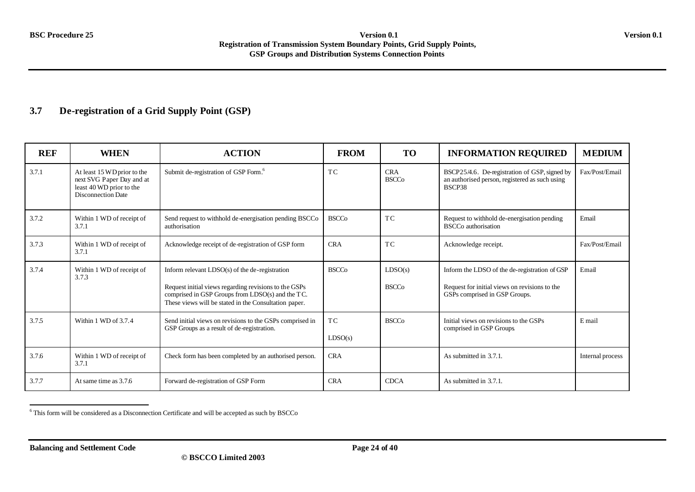### **3.7 De-registration of a Grid Supply Point (GSP)**

| <b>REF</b> | <b>WHEN</b>                                                                                                       | <b>ACTION</b>                                                                                                                                                                                                          | <b>FROM</b>               | <b>TO</b>                  | <b>INFORMATION REQUIRED</b>                                                                                                     | <b>MEDIUM</b>    |
|------------|-------------------------------------------------------------------------------------------------------------------|------------------------------------------------------------------------------------------------------------------------------------------------------------------------------------------------------------------------|---------------------------|----------------------------|---------------------------------------------------------------------------------------------------------------------------------|------------------|
| 3.7.1      | At least 15 WD prior to the<br>next SVG Paper Day and at<br>least 40 WD prior to the<br><b>Disconnection Date</b> | Submit de-registration of GSP Form. <sup>6</sup>                                                                                                                                                                       | T <sub>C</sub>            | <b>CRA</b><br><b>BSCCo</b> | BSCP25/4.6. De-registration of GSP, signed by<br>an authorised person, registered as such using<br>BSCP38                       | Fax/Post/Email   |
| 3.7.2      | Within 1 WD of receipt of<br>3.7.1                                                                                | Send request to withhold de-energisation pending BSCCo<br>authorisation                                                                                                                                                | <b>BSCCo</b>              | T <sub>C</sub>             | Request to withhold de-energisation pending<br><b>BSCCo</b> authorisation                                                       | Email            |
| 3.7.3      | Within 1 WD of receipt of<br>3.7.1                                                                                | Acknowledge receipt of de-registration of GSP form                                                                                                                                                                     | <b>CRA</b>                | T <sub>C</sub>             | Acknowledge receipt.                                                                                                            | Fax/Post/Email   |
| 3.7.4      | Within 1 WD of receipt of<br>3.7.3                                                                                | Inform relevant $LDSO(s)$ of the de-registration<br>Request initial views regarding revisions to the GSPs<br>comprised in GSP Groups from LDSO(s) and the TC.<br>These views will be stated in the Consultation paper. | <b>BSCCo</b>              | LDSO(s)<br><b>BSCCo</b>    | Inform the LDSO of the de-registration of GSP<br>Request for initial views on revisions to the<br>GSPs comprised in GSP Groups. | Email            |
| 3.7.5      | Within 1 WD of 3.7.4                                                                                              | Send initial views on revisions to the GSPs comprised in<br>GSP Groups as a result of de-registration.                                                                                                                 | T <sub>C</sub><br>LDSO(s) | <b>BSCCo</b>               | Initial views on revisions to the GSPs<br>comprised in GSP Groups                                                               | E mail           |
| 3.7.6      | Within 1 WD of receipt of<br>3.7.1                                                                                | Check form has been completed by an authorised person.                                                                                                                                                                 | <b>CRA</b>                |                            | As submitted in 3.7.1.                                                                                                          | Internal process |
| 3.7.7      | At same time as 3.7.6                                                                                             | Forward de-registration of GSP Form                                                                                                                                                                                    | <b>CRA</b>                | <b>CDCA</b>                | As submitted in 3.7.1.                                                                                                          |                  |

l  $6$  This form will be considered as a Disconnection Certificate and will be accepted as such by BSCCo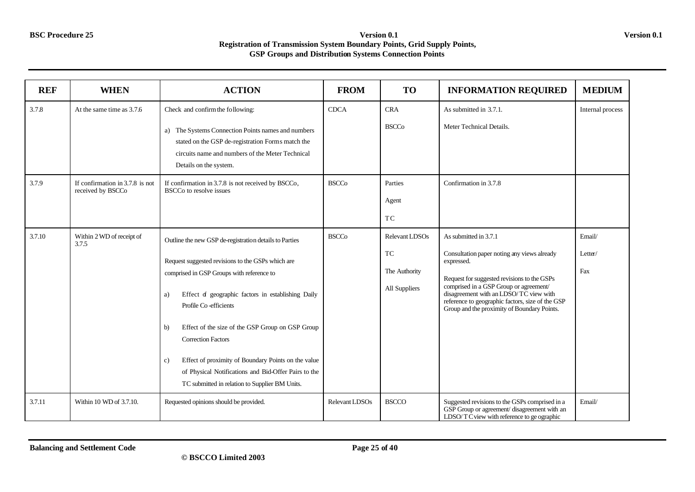| <b>REF</b> | <b>WHEN</b>                                          | <b>ACTION</b>                                                                                                                                                                                                                                                                                                                                                                                                                                                                                               | <b>FROM</b>    | <b>TO</b>                                              | <b>INFORMATION REQUIRED</b>                                                                                                                                                                                                                                                                                              | <b>MEDIUM</b>            |
|------------|------------------------------------------------------|-------------------------------------------------------------------------------------------------------------------------------------------------------------------------------------------------------------------------------------------------------------------------------------------------------------------------------------------------------------------------------------------------------------------------------------------------------------------------------------------------------------|----------------|--------------------------------------------------------|--------------------------------------------------------------------------------------------------------------------------------------------------------------------------------------------------------------------------------------------------------------------------------------------------------------------------|--------------------------|
| 3.7.8      | At the same time as 3.7.6                            | Check and confirm the following:                                                                                                                                                                                                                                                                                                                                                                                                                                                                            | <b>CDCA</b>    | <b>CRA</b>                                             | As submitted in 3.7.1.                                                                                                                                                                                                                                                                                                   | Internal process         |
|            |                                                      | a) The Systems Connection Points names and numbers<br>stated on the GSP de-registration Forms match the<br>circuits name and numbers of the Meter Technical<br>Details on the system.                                                                                                                                                                                                                                                                                                                       |                | <b>BSCCo</b>                                           | Meter Technical Details.                                                                                                                                                                                                                                                                                                 |                          |
| 3.7.9      | If confirmation in 3.7.8 is not<br>received by BSCCo | If confirmation in 3.7.8 is not received by BSCCo,<br>BSCC <sub>o</sub> to resolve issues                                                                                                                                                                                                                                                                                                                                                                                                                   | <b>BSCCo</b>   | Parties<br>Agent<br>TC                                 | Confirmation in 3.7.8                                                                                                                                                                                                                                                                                                    |                          |
| 3.7.10     | Within 2 WD of receipt of<br>3.7.5                   | Outline the new GSP de-registration details to Parties<br>Request suggested revisions to the GSPs which are<br>comprised in GSP Groups with reference to<br>Effect of geographic factors in establishing Daily<br>a)<br>Profile Co-efficients<br>Effect of the size of the GSP Group on GSP Group<br>b)<br><b>Correction Factors</b><br>Effect of proximity of Boundary Points on the value<br>c)<br>of Physical Notifications and Bid-Offer Pairs to the<br>TC submitted in relation to Supplier BM Units. | <b>BSCCo</b>   | Relevant LDSOs<br>TC<br>The Authority<br>All Suppliers | As submitted in 3.7.1<br>Consultation paper noting any views already<br>expressed.<br>Request for suggested revisions to the GSPs<br>comprised in a GSP Group or agreement/<br>disagreement with an LDSO/TC view with<br>reference to geographic factors, size of the GSP<br>Group and the proximity of Boundary Points. | Email/<br>Letter/<br>Fax |
| 3.7.11     | Within 10 WD of 3.7.10.                              | Requested opinions should be provided.                                                                                                                                                                                                                                                                                                                                                                                                                                                                      | Relevant LDSOs | <b>BSCCO</b>                                           | Suggested revisions to the GSPs comprised in a<br>GSP Group or agreement/ disagreement with an<br>LDSO/TC view with reference to ge ographic                                                                                                                                                                             | Email/                   |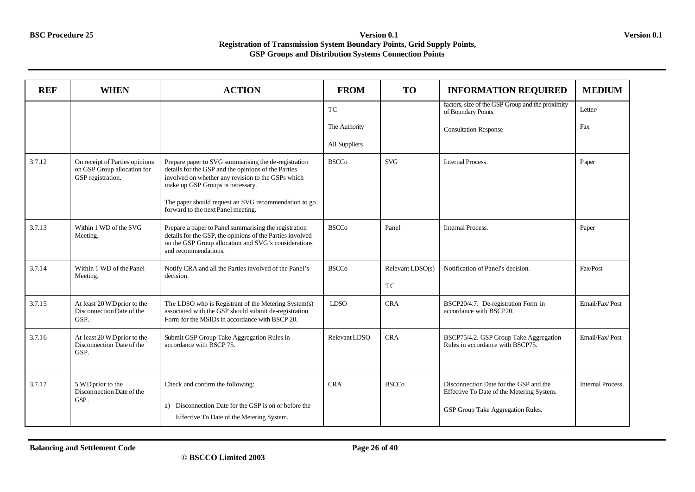| <b>REF</b> | <b>WHEN</b>                                                                        | <b>ACTION</b>                                                                                                                                                                                                                                                                                       | <b>FROM</b>   | <b>TO</b>              | <b>INFORMATION REQUIRED</b>                                                                                              | <b>MEDIUM</b>            |
|------------|------------------------------------------------------------------------------------|-----------------------------------------------------------------------------------------------------------------------------------------------------------------------------------------------------------------------------------------------------------------------------------------------------|---------------|------------------------|--------------------------------------------------------------------------------------------------------------------------|--------------------------|
|            |                                                                                    |                                                                                                                                                                                                                                                                                                     | TC            |                        | factors, size of the GSP Group and the proximity<br>of Boundary Points.                                                  | Letter/                  |
|            |                                                                                    |                                                                                                                                                                                                                                                                                                     | The Authority |                        | <b>Consultation Response.</b>                                                                                            | Fax                      |
|            |                                                                                    |                                                                                                                                                                                                                                                                                                     | All Suppliers |                        |                                                                                                                          |                          |
| 3.7.12     | On receipt of Parties opinions<br>on GSP Group allocation for<br>GSP registration. | Prepare paper to SVG summarising the de-registration<br>details for the GSP and the opinions of the Parties<br>involved on whether any revision to the GSPs which<br>make up GSP Groups is necessary.<br>The paper should request an SVG recommendation to go<br>forward to the next Panel meeting. | <b>BSCCo</b>  | <b>SVG</b>             | <b>Internal Process.</b>                                                                                                 | Paper                    |
| 3.7.13     | Within 1 WD of the SVG<br>Meeting.                                                 | Prepare a paper to Panel summarising the registration<br>details for the GSP, the opinions of the Parties involved<br>on the GSP Group allocation and SVG's considerations<br>and recommendations.                                                                                                  | <b>BSCCo</b>  | Panel                  | <b>Internal Process.</b>                                                                                                 | Paper                    |
| 3.7.14     | Within 1 WD of the Panel<br>Meeting.                                               | Notify CRA and all the Parties involved of the Panel's<br>decision.                                                                                                                                                                                                                                 | <b>BSCCo</b>  | Relevant LDSO(s)<br>TC | Notification of Panel's decision.                                                                                        | Fax/Post                 |
| 3.7.15     | At least 20 WD prior to the<br>Disconnection Date of the<br>GSP.                   | The LDSO who is Registrant of the Metering System(s)<br>associated with the GSP should submit de-registration<br>Form for the MSIDs in accordance with BSCP 20.                                                                                                                                     | <b>LDSO</b>   | <b>CRA</b>             | BSCP20/4.7. De-registration Form in<br>accordance with BSCP20.                                                           | Email/Fax/Post           |
| 3.7.16     | At least 20 WD prior to the<br>Disconnection Date of the<br>GSP.                   | Submit GSP Group Take Aggregation Rules in<br>accordance with BSCP 75.                                                                                                                                                                                                                              | Relevant LDSO | <b>CRA</b>             | BSCP75/4.2. GSP Group Take Aggregation<br>Rules in accordance with BSCP75.                                               | Email/Fax/Post           |
| 3.7.17     | 5 WD prior to the<br>Disconnection Date of the<br>GSP.                             | Check and confirm the following:<br>a) Disconnection Date for the GSP is on or before the<br>Effective To Date of the Metering System.                                                                                                                                                              | <b>CRA</b>    | <b>BSCCo</b>           | Disconnection Date for the GSP and the<br>Effective To Date of the Metering System.<br>GSP Group Take Aggregation Rules. | <b>Internal Process.</b> |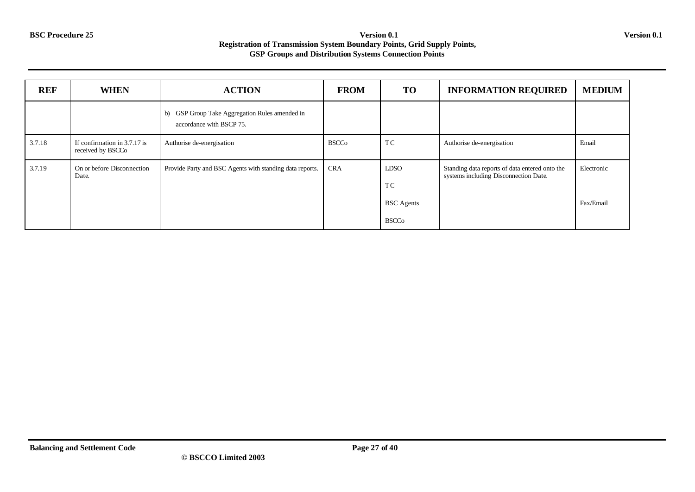| <b>REF</b> | <b>WHEN</b>                                       | <b>ACTION</b>                                                              | <b>FROM</b>  | <b>TO</b>                                              | <b>INFORMATION REQUIRED</b>                                                             | <b>MEDIUM</b>           |
|------------|---------------------------------------------------|----------------------------------------------------------------------------|--------------|--------------------------------------------------------|-----------------------------------------------------------------------------------------|-------------------------|
|            |                                                   | b) GSP Group Take Aggregation Rules amended in<br>accordance with BSCP 75. |              |                                                        |                                                                                         |                         |
| 3.7.18     | If confirmation in 3.7.17 is<br>received by BSCCo | Authorise de-energisation                                                  | <b>BSCCo</b> | TC                                                     | Authorise de-energisation                                                               | Email                   |
| 3.7.19     | On or before Disconnection<br>Date.               | Provide Party and BSC Agents with standing data reports.                   | <b>CRA</b>   | <b>LDSO</b><br>TC<br><b>BSC</b> Agents<br><b>BSCCo</b> | Standing data reports of data entered onto the<br>systems including Disconnection Date. | Electronic<br>Fax/Email |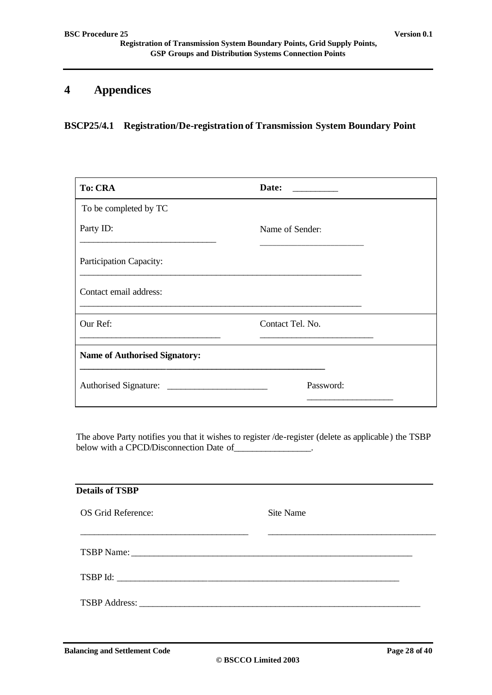# **4 Appendices**

**BSCP25/4.1 Registration/De-registration of Transmission System Boundary Point** 

| <b>To: CRA</b>                       | Date:<br><u> 1989 - Jan Barton, primeira polít</u> ica |  |  |  |
|--------------------------------------|--------------------------------------------------------|--|--|--|
| To be completed by TC                |                                                        |  |  |  |
| Party ID:                            | Name of Sender:                                        |  |  |  |
| Participation Capacity:              |                                                        |  |  |  |
| Contact email address:               |                                                        |  |  |  |
| Our Ref:                             | Contact Tel. No.                                       |  |  |  |
| <b>Name of Authorised Signatory:</b> |                                                        |  |  |  |
|                                      | Password:                                              |  |  |  |

The above Party notifies you that it wishes to register /de-register (delete as applicable) the TSBP below with a CPCD/Disconnection Date of \_\_\_\_\_\_\_\_\_\_\_\_\_\_\_.

| <b>Details of TSBP</b> |           |
|------------------------|-----------|
| OS Grid Reference:     | Site Name |
| TSBP Name:             |           |
|                        |           |
|                        |           |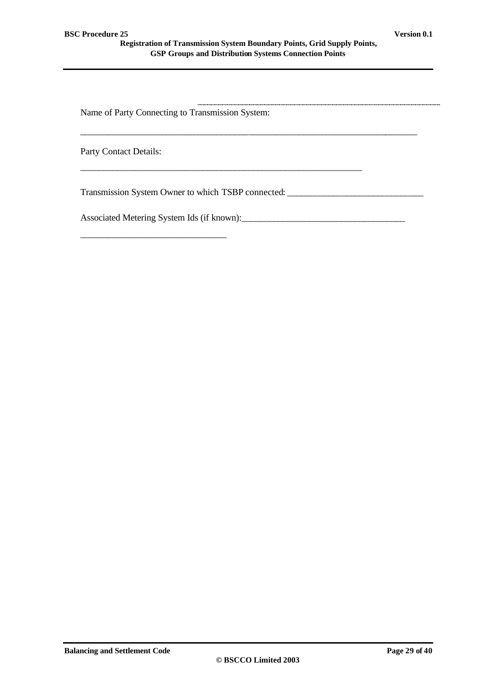\_\_\_\_\_\_\_\_\_\_\_\_\_\_\_\_\_\_\_\_\_\_\_\_\_\_\_\_\_\_\_\_\_\_\_\_\_\_\_\_\_\_\_\_\_\_\_\_\_\_\_\_\_\_\_\_\_\_\_\_\_\_

\_\_\_\_\_\_\_\_\_\_\_\_\_\_\_\_\_\_\_\_\_\_\_\_\_\_\_\_\_\_\_\_\_\_\_\_\_\_\_\_\_\_\_\_\_\_\_\_\_\_\_\_\_\_\_\_\_\_\_\_\_\_\_\_\_\_\_\_\_\_\_\_\_\_

Name of Party Connecting to Transmission System:

Party Contact Details:

Transmission System Owner to which TSBP connected: \_\_\_\_\_\_\_\_\_\_\_\_\_\_\_\_\_\_\_\_\_\_\_\_\_\_\_\_\_

Associated Metering System Ids (if known):\_\_\_\_\_\_\_\_\_\_\_\_\_\_\_\_\_\_\_\_\_\_\_\_\_\_\_\_\_\_\_\_\_\_\_\_

\_\_\_\_\_\_\_\_\_\_\_\_\_\_\_\_\_\_\_\_\_\_\_\_\_\_\_\_\_\_\_\_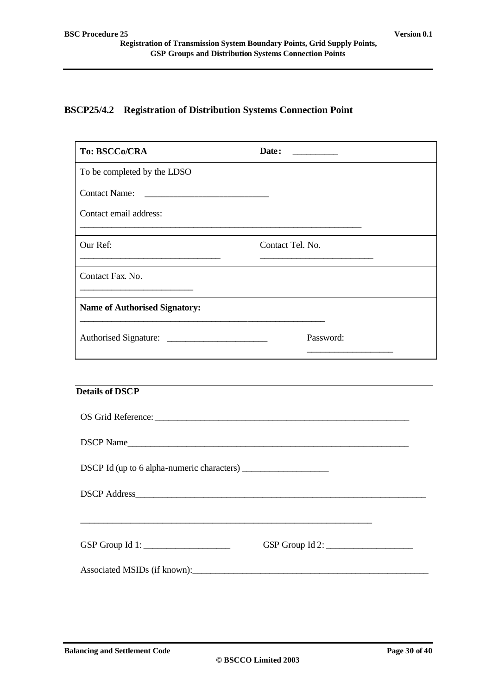#### **BSCP25/4.2 Registration of Distribution Systems Connection Point**

| <b>To: BSCCo/CRA</b>                                                                                                                                                                                                           | Date:<br><u> 1989 - Jan Stein Stein Stein Stein Stein Stein Stein Stein Stein Stein Stein Stein Stein Stein Stein Stein Stein Stein Stein Stein Stein Stein Stein Stein Stein Stein Stein Stein Stein Stein Stein Stein Stein Stein Stein</u> |
|--------------------------------------------------------------------------------------------------------------------------------------------------------------------------------------------------------------------------------|-----------------------------------------------------------------------------------------------------------------------------------------------------------------------------------------------------------------------------------------------|
| To be completed by the LDSO                                                                                                                                                                                                    |                                                                                                                                                                                                                                               |
| <b>Contact Name:</b>                                                                                                                                                                                                           |                                                                                                                                                                                                                                               |
| Contact email address:                                                                                                                                                                                                         | <u> 1989 - Johann Stoff, deutscher Stoff, der Stoff, der Stoff, der Stoff, der Stoff, der Stoff, der Stoff, der S</u>                                                                                                                         |
| Our Ref:<br><u> 1980 - Johann Barn, mars and de Branch Barn, mars and de Branch Barn, mars and de Branch Barn, mars and de Br</u>                                                                                              | Contact Tel. No.                                                                                                                                                                                                                              |
| Contact Fax. No.                                                                                                                                                                                                               |                                                                                                                                                                                                                                               |
| <b>Name of Authorised Signatory:</b><br><u> 1980 - Antonio Alemania, politikar esperantor esperantor esperantor esperantor esperantor esperantor esperanto</u>                                                                 |                                                                                                                                                                                                                                               |
|                                                                                                                                                                                                                                | Password:<br><u> 1989 - Johann Barn, fransk politik (</u>                                                                                                                                                                                     |
|                                                                                                                                                                                                                                |                                                                                                                                                                                                                                               |
| <b>Details of DSCP</b>                                                                                                                                                                                                         |                                                                                                                                                                                                                                               |
| OS Grid Reference: New York Contact Contact Contact Contact Contact Contact Contact Contact Contact Contact Contact Contact Contact Contact Contact Contact Contact Contact Contact Contact Contact Contact Contact Contact Co |                                                                                                                                                                                                                                               |
| DSCP Name                                                                                                                                                                                                                      |                                                                                                                                                                                                                                               |
|                                                                                                                                                                                                                                |                                                                                                                                                                                                                                               |
|                                                                                                                                                                                                                                |                                                                                                                                                                                                                                               |
|                                                                                                                                                                                                                                |                                                                                                                                                                                                                                               |
| GSP Group Id 1: $\_\_\_\_\_\_\_\_\_\_\_\_\_\_\_\_\_\_\_\_\_\_$                                                                                                                                                                 | GSP Group Id 2:                                                                                                                                                                                                                               |
| Associated MSIDs (if known):                                                                                                                                                                                                   |                                                                                                                                                                                                                                               |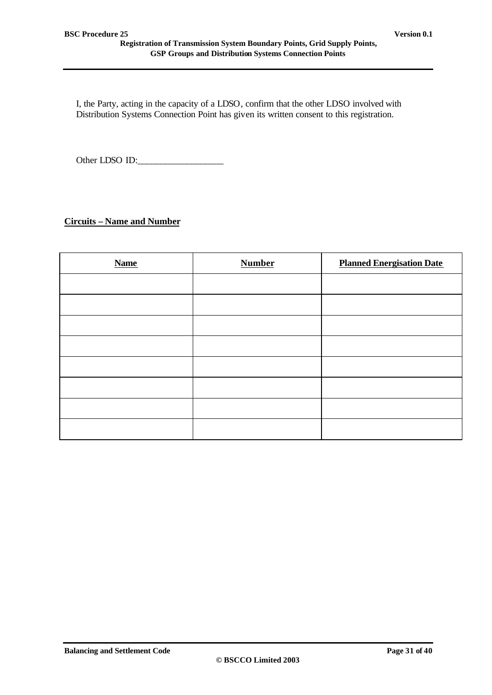I, the Party, acting in the capacity of a LDSO, confirm that the other LDSO involved with Distribution Systems Connection Point has given its written consent to this registration.

Other LDSO ID:\_\_\_\_\_\_\_\_\_\_\_\_\_\_\_\_\_\_\_

#### **Circuits – Name and Number**

| <b>Name</b> | <b>Number</b> | <b>Planned Energisation Date</b> |
|-------------|---------------|----------------------------------|
|             |               |                                  |
|             |               |                                  |
|             |               |                                  |
|             |               |                                  |
|             |               |                                  |
|             |               |                                  |
|             |               |                                  |
|             |               |                                  |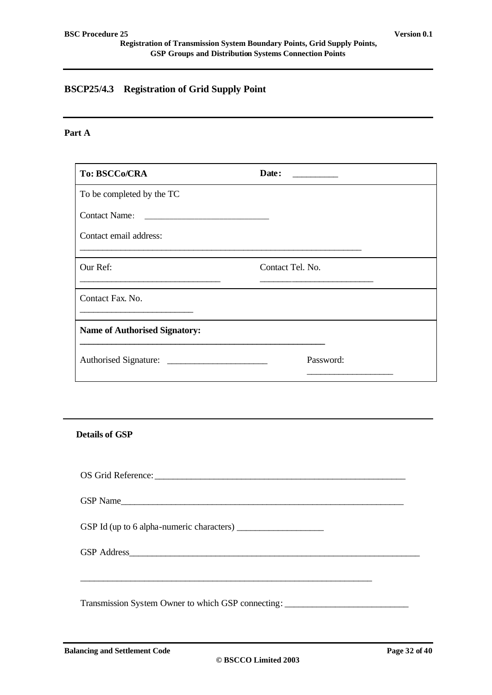# **BSCP25/4.3 Registration of Grid Supply Point**

#### **Part A**

| To: BSCCo/CRA                        | Date:            |
|--------------------------------------|------------------|
| To be completed by the TC            |                  |
| <b>Contact Name:</b>                 |                  |
| Contact email address:               |                  |
| Our Ref:                             | Contact Tel. No. |
| Contact Fax. No.                     |                  |
| <b>Name of Authorised Signatory:</b> |                  |
|                                      | Password:        |

**Details of GSP**

| OS Grid Reference: |  |
|--------------------|--|
| GSP Name           |  |
|                    |  |
|                    |  |
|                    |  |

Transmission System Owner to which GSP connecting: \_\_\_\_\_\_\_\_\_\_\_\_\_\_\_\_\_\_\_\_\_\_\_\_\_\_\_\_\_\_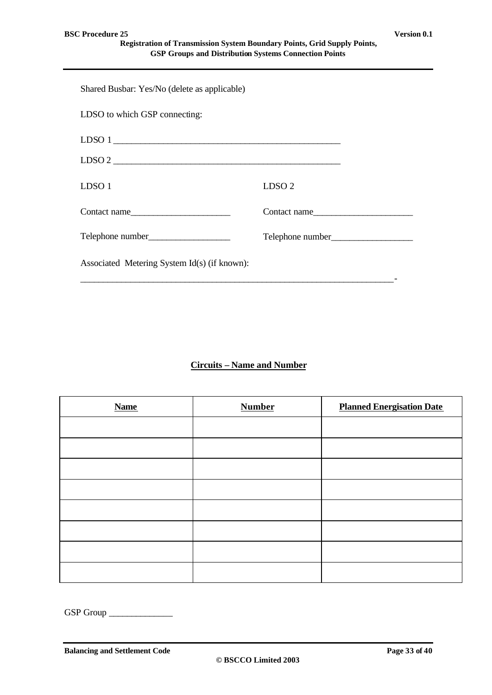| Shared Busbar: Yes/No (delete as applicable) |                   |
|----------------------------------------------|-------------------|
| LDSO to which GSP connecting:                |                   |
|                                              |                   |
| $LDSO 2 \nightharpoonup$                     |                   |
| LDSO 1                                       | LDSO <sub>2</sub> |
| Contact name                                 | Contact name      |
|                                              |                   |
| Associated Metering System Id(s) (if known): |                   |

### **Circuits – Name and Number**

| <b>Name</b> | <b>Number</b> | <b>Planned Energisation Date</b> |
|-------------|---------------|----------------------------------|
|             |               |                                  |
|             |               |                                  |
|             |               |                                  |
|             |               |                                  |
|             |               |                                  |
|             |               |                                  |
|             |               |                                  |
|             |               |                                  |

GSP Group \_\_\_\_\_\_\_\_\_\_\_\_\_\_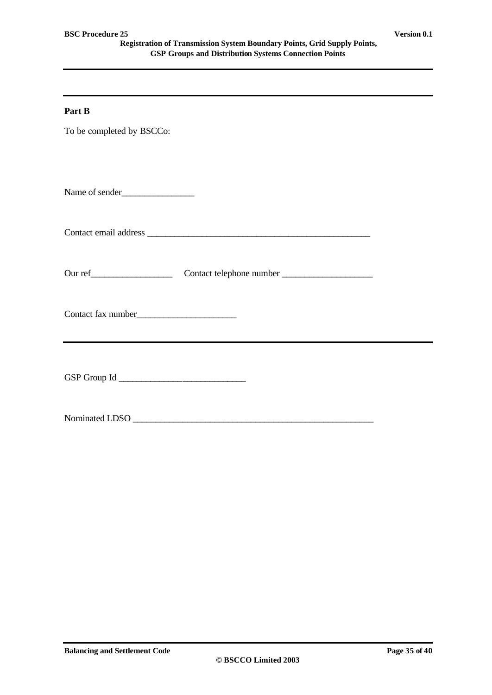#### **Part B**

To be completed by BSCCo:

Contact email address \_\_\_\_\_\_\_\_\_\_\_\_\_\_\_\_\_\_\_\_\_\_\_\_\_\_\_\_\_\_\_\_\_\_\_\_\_\_\_\_\_\_\_\_\_\_\_\_\_

Our ref\_\_\_\_\_\_\_\_\_\_\_\_\_\_\_\_\_\_ Contact telephone number \_\_\_\_\_\_\_\_\_\_\_\_\_\_\_\_\_\_\_\_

Contact fax number

GSP Group Id \_\_\_\_\_\_\_\_\_\_\_\_\_\_\_\_\_\_\_\_\_\_\_\_\_\_\_\_

Nominated LDSO \_\_\_\_\_\_\_\_\_\_\_\_\_\_\_\_\_\_\_\_\_\_\_\_\_\_\_\_\_\_\_\_\_\_\_\_\_\_\_\_\_\_\_\_\_\_\_\_\_\_\_\_\_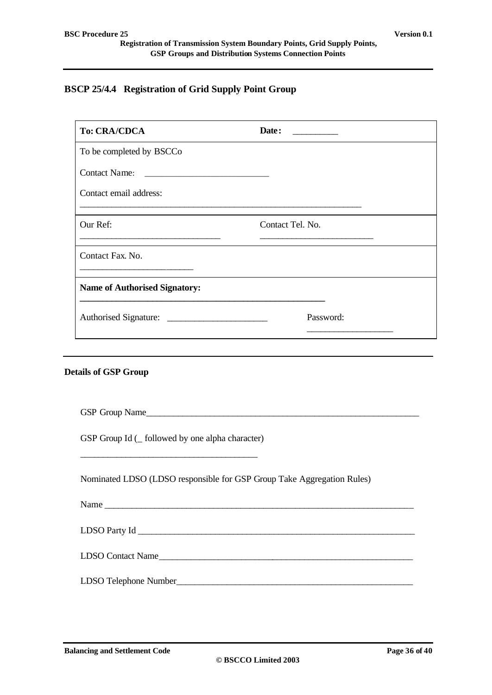## **BSCP 25/4.4 Registration of Grid Supply Point Group**

| <b>To: CRA/CDCA</b>                                                                                                                                           | Date:                                                                  |
|---------------------------------------------------------------------------------------------------------------------------------------------------------------|------------------------------------------------------------------------|
| To be completed by BSCCo                                                                                                                                      |                                                                        |
|                                                                                                                                                               |                                                                        |
| Contact email address:                                                                                                                                        | <u> 1989 - Johann Stoff, amerikansk politiker (d. 1989)</u>            |
| Our Ref:<br><u> 1989 - Jan Barnett, fransk politiker (d. 1989)</u>                                                                                            | Contact Tel. No.                                                       |
| Contact Fax. No.                                                                                                                                              |                                                                        |
| <b>Name of Authorised Signatory:</b><br><u> 1989 - Johann Stoff, deutscher Stoff, der Stoff, der Stoff, der Stoff, der Stoff, der Stoff, der Stoff, der S</u> |                                                                        |
|                                                                                                                                                               | Password:                                                              |
|                                                                                                                                                               |                                                                        |
| <b>Details of GSP Group</b>                                                                                                                                   |                                                                        |
|                                                                                                                                                               |                                                                        |
|                                                                                                                                                               |                                                                        |
| GSP Group Id ( _ followed by one alpha character)                                                                                                             |                                                                        |
|                                                                                                                                                               | Nominated LDSO (LDSO responsible for GSP Group Take Aggregation Rules) |
|                                                                                                                                                               |                                                                        |
|                                                                                                                                                               |                                                                        |

LDSO Contact Name\_\_\_\_\_\_\_\_\_\_\_\_\_\_\_\_\_\_\_\_\_\_\_\_\_\_\_\_\_\_\_\_\_\_\_\_\_\_\_\_\_\_\_\_\_\_\_\_\_\_\_\_\_\_\_\_

LDSO Telephone Number\_\_\_\_\_\_\_\_\_\_\_\_\_\_\_\_\_\_\_\_\_\_\_\_\_\_\_\_\_\_\_\_\_\_\_\_\_\_\_\_\_\_\_\_\_\_\_\_\_\_\_\_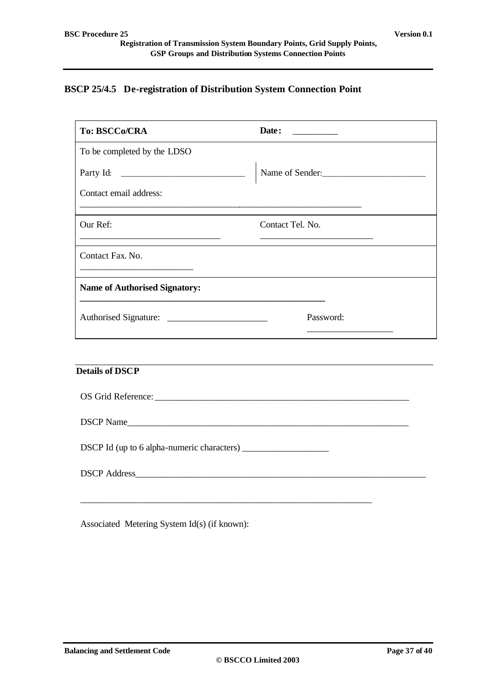## **BSCP 25/4.5 De-registration of Distribution System Connection Point**

| <b>To: BSCCo/CRA</b>                                                                                                               | Date: $\qquad \qquad$                                                                                                                    |
|------------------------------------------------------------------------------------------------------------------------------------|------------------------------------------------------------------------------------------------------------------------------------------|
| To be completed by the LDSO                                                                                                        |                                                                                                                                          |
|                                                                                                                                    | Name of Sender:                                                                                                                          |
| Contact email address:<br><u> 1999 - Jan James James Barnett, amerikan bahasa (j. 1989)</u>                                        |                                                                                                                                          |
| Our Ref:<br><u> 1989 - Johann Stoff, deutscher Stoffen und der Stoffen und der Stoffen und der Stoffen und der Stoffen und der</u> | Contact Tel. No.<br><u> Alexandria de la contrada de la contrada de la contrada de la contrada de la contrada de la contrada de la c</u> |
| Contact Fax. No.                                                                                                                   |                                                                                                                                          |
| <b>Name of Authorised Signatory:</b>                                                                                               |                                                                                                                                          |
|                                                                                                                                    | Password:                                                                                                                                |
|                                                                                                                                    |                                                                                                                                          |
| <b>Details of DSCP</b>                                                                                                             |                                                                                                                                          |
|                                                                                                                                    |                                                                                                                                          |
| DSCP Name                                                                                                                          |                                                                                                                                          |
|                                                                                                                                    |                                                                                                                                          |
|                                                                                                                                    |                                                                                                                                          |
|                                                                                                                                    |                                                                                                                                          |

Associated Metering System Id(s) (if known):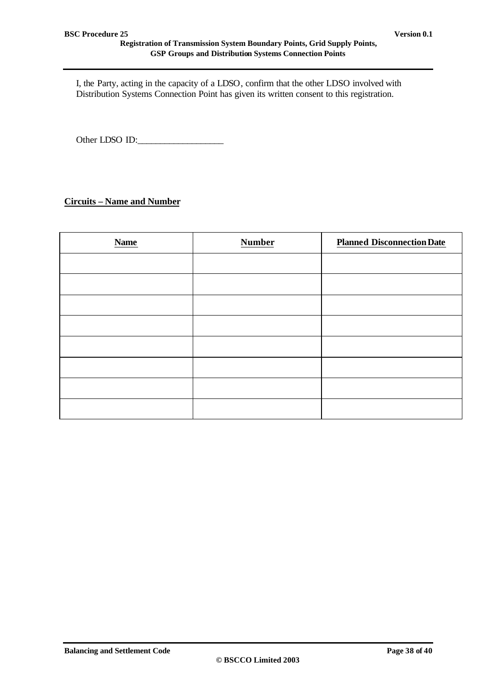I, the Party, acting in the capacity of a LDSO, confirm that the other LDSO involved with Distribution Systems Connection Point has given its written consent to this registration.

Other LDSO ID:\_\_\_\_\_\_\_\_\_\_\_\_\_\_\_\_\_\_\_

### **Circuits – Name and Number**

| <b>Name</b> | <b>Number</b> | <b>Planned Disconnection Date</b> |
|-------------|---------------|-----------------------------------|
|             |               |                                   |
|             |               |                                   |
|             |               |                                   |
|             |               |                                   |
|             |               |                                   |
|             |               |                                   |
|             |               |                                   |
|             |               |                                   |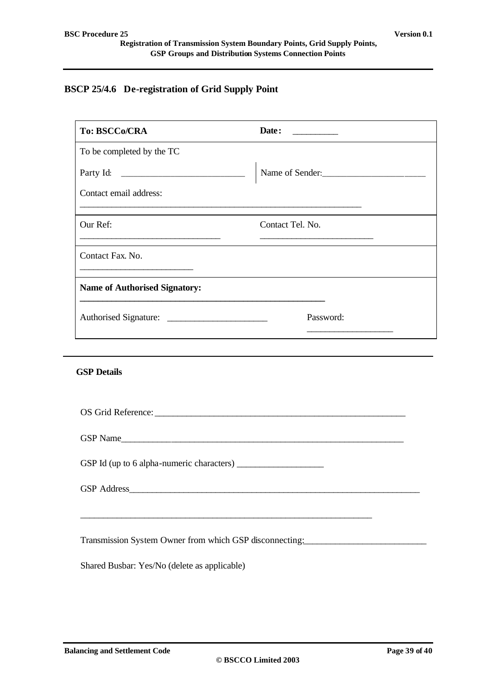# **BSCP 25/4.6 De-registration of Grid Supply Point**

| To: BSCCo/CRA                                                                                                                      | Date: $\qquad \qquad$                                                                                                                   |  |
|------------------------------------------------------------------------------------------------------------------------------------|-----------------------------------------------------------------------------------------------------------------------------------------|--|
| To be completed by the TC                                                                                                          |                                                                                                                                         |  |
|                                                                                                                                    | Name of Sender:                                                                                                                         |  |
| Contact email address:                                                                                                             | <u> 1989 - Johann Stoff, amerikansk politiker (d. 1989)</u>                                                                             |  |
| Our Ref:<br><u> 1989 - Johann Stoff, deutscher Stoffen und der Stoffen und der Stoffen und der Stoffen und der Stoffen und der</u> | Contact Tel. No.<br><u> 1989 - Johann Barn, mars eta bainar eta baina eta baina eta baina eta baina eta baina eta baina eta baina e</u> |  |
| Contact Fax. No.<br><u> 1989 - Johann Barn, fransk politik (</u>                                                                   |                                                                                                                                         |  |
| <b>Name of Authorised Signatory:</b>                                                                                               |                                                                                                                                         |  |
|                                                                                                                                    | Password:                                                                                                                               |  |
|                                                                                                                                    |                                                                                                                                         |  |
| <b>GSP Details</b>                                                                                                                 |                                                                                                                                         |  |
|                                                                                                                                    |                                                                                                                                         |  |
|                                                                                                                                    |                                                                                                                                         |  |
|                                                                                                                                    |                                                                                                                                         |  |
|                                                                                                                                    |                                                                                                                                         |  |
|                                                                                                                                    |                                                                                                                                         |  |
|                                                                                                                                    |                                                                                                                                         |  |
|                                                                                                                                    | Transmission System Owner from which GSP disconnecting: _________________________                                                       |  |
| Shared Busbar: Yes/No (delete as applicable)                                                                                       |                                                                                                                                         |  |